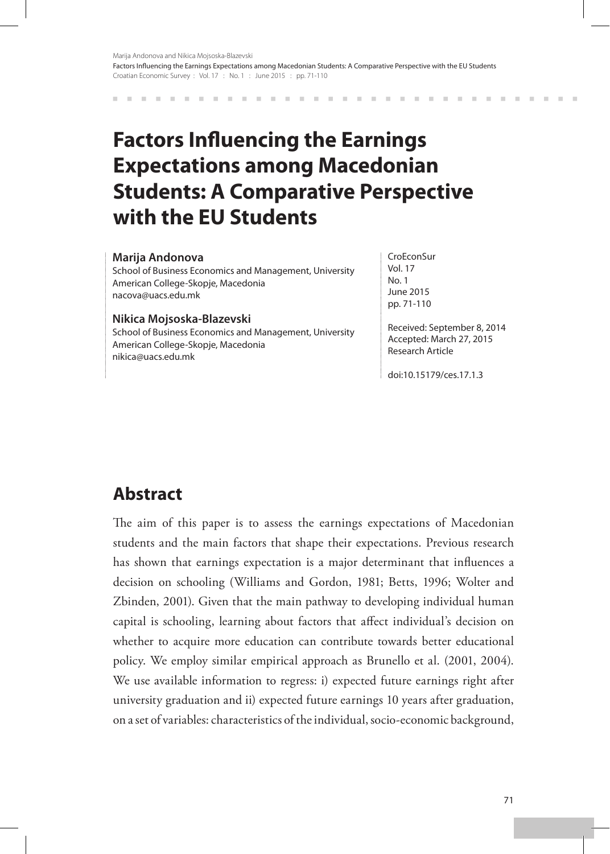# **Factors Influencing the Earnings Expectations among Macedonian Students: A Comparative Perspective with the EU Students**

#### **Marija Andonova**

School of Business Economics and Management, University American College-Skopje, Macedonia nacova@uacs.edu.mk

#### **Nikica Mojsoska-Blazevski**

School of Business Economics and Management, University American College-Skopje, Macedonia nikica@uacs.edu.mk

**CroEconSur** Vol. 17  $N<sub>0</sub>$  1 June 2015 pp. 71-110

Received: September 8, 2014 Accepted: March 27, 2015 Research Article

doi:10.15179/ces.17.1.3

## **Abstract**

The aim of this paper is to assess the earnings expectations of Macedonian students and the main factors that shape their expectations. Previous research has shown that earnings expectation is a major determinant that influences a decision on schooling (Williams and Gordon, 1981; Betts, 1996; Wolter and Zbinden, 2001). Given that the main pathway to developing individual human capital is schooling, learning about factors that affect individual's decision on whether to acquire more education can contribute towards better educational policy. We employ similar empirical approach as Brunello et al. (2001, 2004). We use available information to regress: i) expected future earnings right after university graduation and ii) expected future earnings 10 years after graduation, on a set of variables: characteristics of the individual, socio-economic background,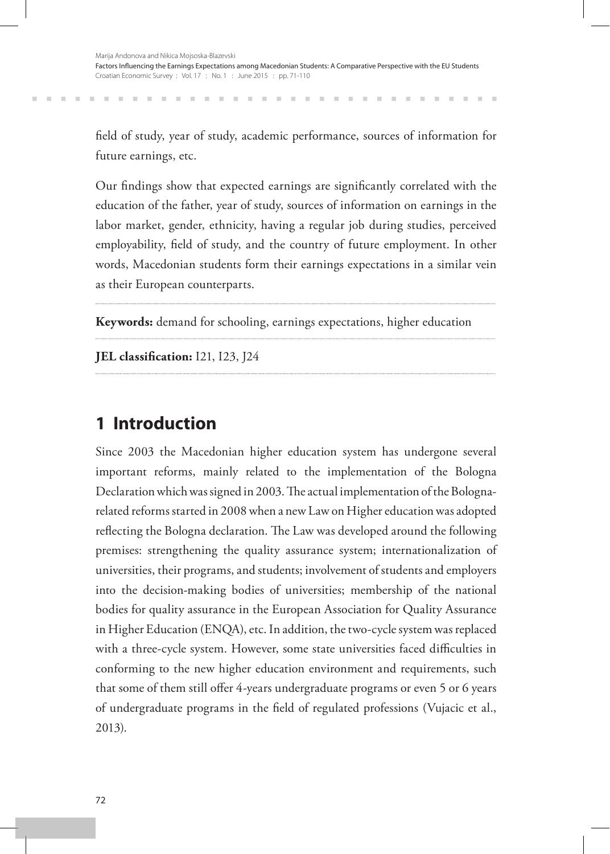field of study, year of study, academic performance, sources of information for future earnings, etc.

Our findings show that expected earnings are significantly correlated with the education of the father, year of study, sources of information on earnings in the labor market, gender, ethnicity, having a regular job during studies, perceived employability, field of study, and the country of future employment. In other words, Macedonian students form their earnings expectations in a similar vein as their European counterparts.

**Keywords:** demand for schooling, earnings expectations, higher education

**JEL classification:** I21, I23, J24

## **1 Introduction**

 $\mathbb{R}^n$ 

Since 2003 the Macedonian higher education system has undergone several important reforms, mainly related to the implementation of the Bologna Declaration which was signed in 2003. The actual implementation of the Bolognarelated reforms started in 2008 when a new Law on Higher education was adopted reflecting the Bologna declaration. The Law was developed around the following premises: strengthening the quality assurance system; internationalization of universities, their programs, and students; involvement of students and employers into the decision-making bodies of universities; membership of the national bodies for quality assurance in the European Association for Quality Assurance in Higher Education (ENQA), etc. In addition, the two-cycle system was replaced with a three-cycle system. However, some state universities faced difficulties in conforming to the new higher education environment and requirements, such that some of them still offer 4-years undergraduate programs or even 5 or 6 years of undergraduate programs in the field of regulated professions (Vujacic et al., 2013).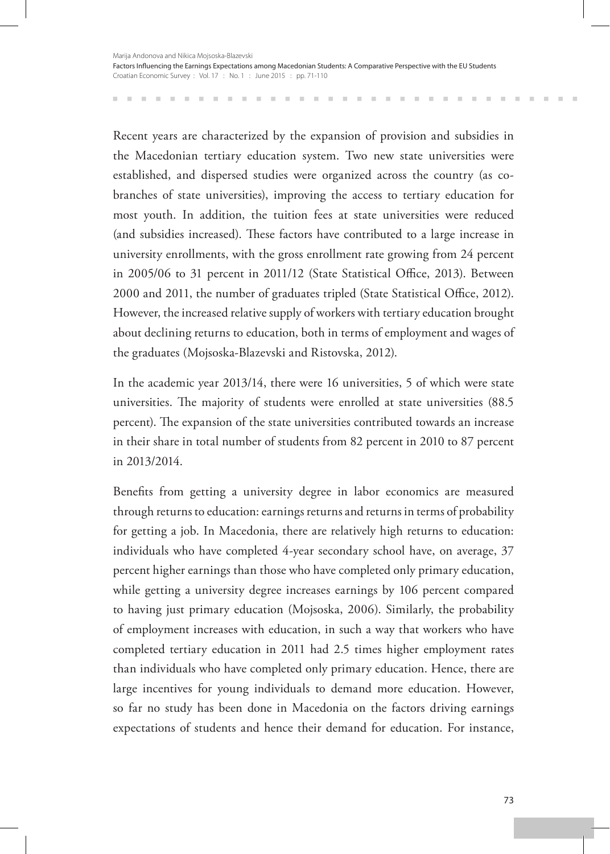Recent years are characterized by the expansion of provision and subsidies in the Macedonian tertiary education system. Two new state universities were established, and dispersed studies were organized across the country (as cobranches of state universities), improving the access to tertiary education for most youth. In addition, the tuition fees at state universities were reduced (and subsidies increased). These factors have contributed to a large increase in university enrollments, with the gross enrollment rate growing from 24 percent in 2005/06 to 31 percent in 2011/12 (State Statistical Office, 2013). Between 2000 and 2011, the number of graduates tripled (State Statistical Office, 2012). However, the increased relative supply of workers with tertiary education brought about declining returns to education, both in terms of employment and wages of the graduates (Mojsoska-Blazevski and Ristovska, 2012).

In the academic year 2013/14, there were 16 universities, 5 of which were state universities. The majority of students were enrolled at state universities (88.5 percent). The expansion of the state universities contributed towards an increase in their share in total number of students from 82 percent in 2010 to 87 percent in 2013/2014.

Benefits from getting a university degree in labor economics are measured through returns to education: earnings returns and returns in terms of probability for getting a job. In Macedonia, there are relatively high returns to education: individuals who have completed 4-year secondary school have, on average, 37 percent higher earnings than those who have completed only primary education, while getting a university degree increases earnings by 106 percent compared to having just primary education (Mojsoska, 2006). Similarly, the probability of employment increases with education, in such a way that workers who have completed tertiary education in 2011 had 2.5 times higher employment rates than individuals who have completed only primary education. Hence, there are large incentives for young individuals to demand more education. However, so far no study has been done in Macedonia on the factors driving earnings expectations of students and hence their demand for education. For instance,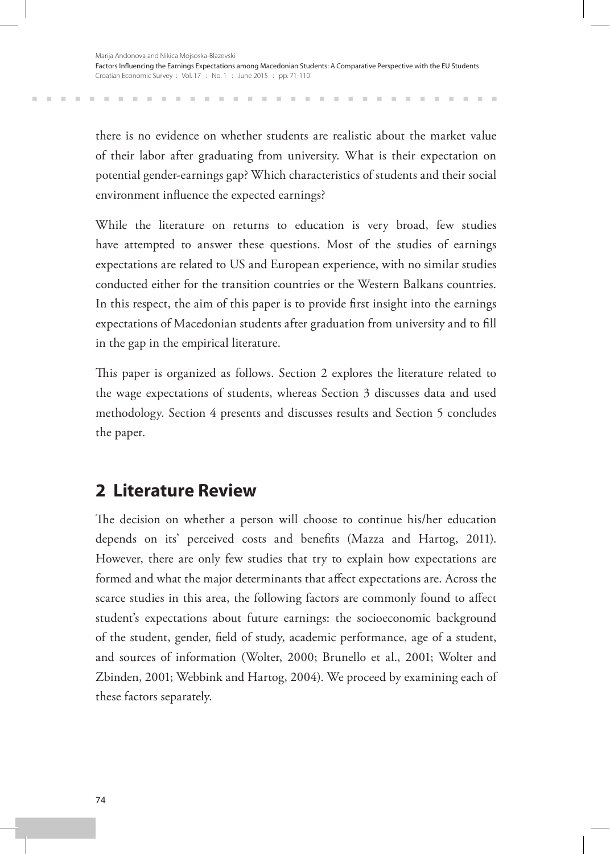there is no evidence on whether students are realistic about the market value of their labor after graduating from university. What is their expectation on potential gender-earnings gap? Which characteristics of students and their social environment influence the expected earnings?

While the literature on returns to education is very broad, few studies have attempted to answer these questions. Most of the studies of earnings expectations are related to US and European experience, with no similar studies conducted either for the transition countries or the Western Balkans countries. In this respect, the aim of this paper is to provide first insight into the earnings expectations of Macedonian students after graduation from university and to fill in the gap in the empirical literature.

This paper is organized as follows. Section 2 explores the literature related to the wage expectations of students, whereas Section 3 discusses data and used methodology. Section 4 presents and discusses results and Section 5 concludes the paper.

## **2 Literature Review**

The decision on whether a person will choose to continue his/her education depends on its' perceived costs and benefits (Mazza and Hartog, 2011). However, there are only few studies that try to explain how expectations are formed and what the major determinants that affect expectations are. Across the scarce studies in this area, the following factors are commonly found to affect student's expectations about future earnings: the socioeconomic background of the student, gender, field of study, academic performance, age of a student, and sources of information (Wolter, 2000; Brunello et al., 2001; Wolter and Zbinden, 2001; Webbink and Hartog, 2004). We proceed by examining each of these factors separately.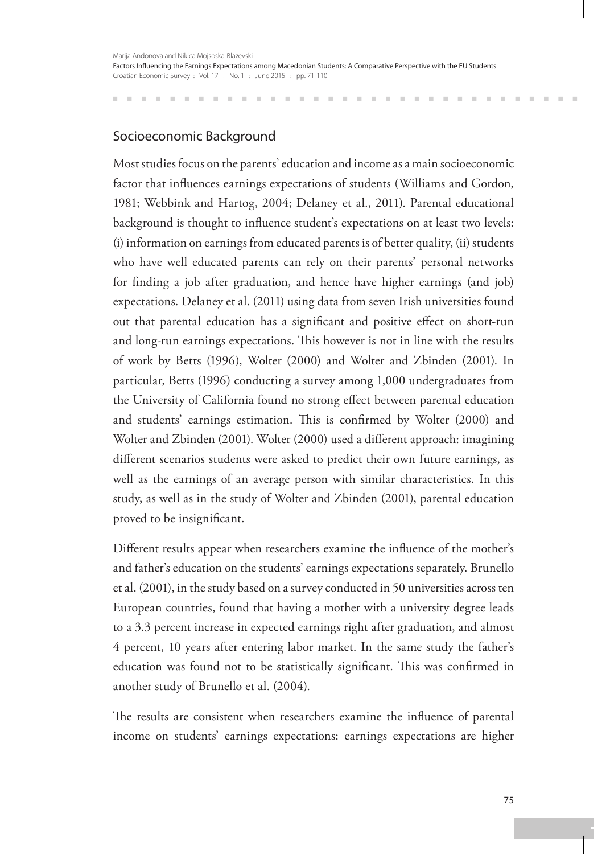## Socioeconomic Background

Most studies focus on the parents' education and income as a main socioeconomic factor that influences earnings expectations of students (Williams and Gordon, 1981; Webbink and Hartog, 2004; Delaney et al., 2011). Parental educational background is thought to influence student's expectations on at least two levels: (i) information on earnings from educated parents is of better quality, (ii) students who have well educated parents can rely on their parents' personal networks for finding a job after graduation, and hence have higher earnings (and job) expectations. Delaney et al. (2011) using data from seven Irish universities found out that parental education has a significant and positive effect on short-run and long-run earnings expectations. This however is not in line with the results of work by Betts (1996), Wolter (2000) and Wolter and Zbinden (2001). In particular, Betts (1996) conducting a survey among 1,000 undergraduates from the University of California found no strong effect between parental education and students' earnings estimation. This is confirmed by Wolter (2000) and Wolter and Zbinden (2001). Wolter (2000) used a different approach: imagining different scenarios students were asked to predict their own future earnings, as well as the earnings of an average person with similar characteristics. In this study, as well as in the study of Wolter and Zbinden (2001), parental education proved to be insignificant.

Different results appear when researchers examine the influence of the mother's and father's education on the students' earnings expectations separately. Brunello et al. (2001), in the study based on a survey conducted in 50 universities across ten European countries, found that having a mother with a university degree leads to a 3.3 percent increase in expected earnings right after graduation, and almost 4 percent, 10 years after entering labor market. In the same study the father's education was found not to be statistically significant. This was confirmed in another study of Brunello et al. (2004).

The results are consistent when researchers examine the influence of parental income on students' earnings expectations: earnings expectations are higher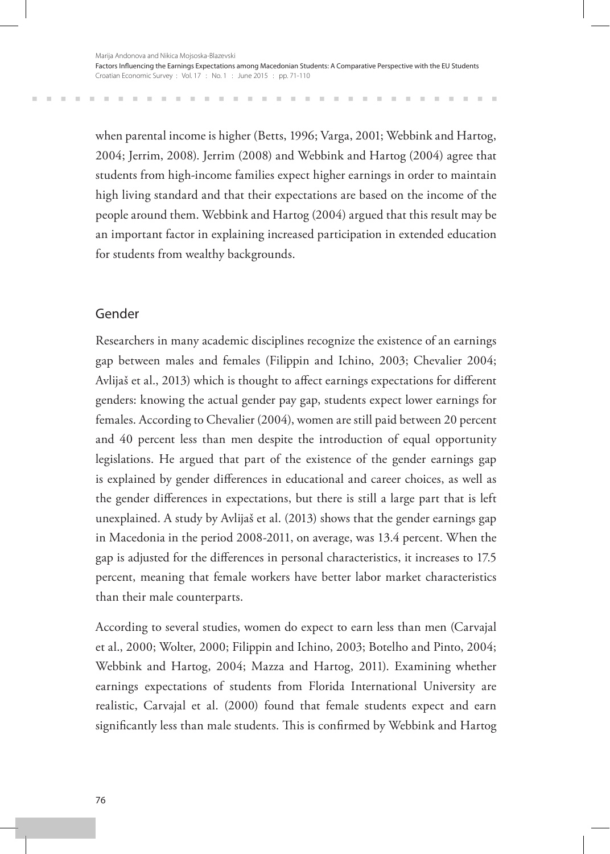when parental income is higher (Betts, 1996; Varga, 2001; Webbink and Hartog, 2004; Jerrim, 2008). Jerrim (2008) and Webbink and Hartog (2004) agree that students from high-income families expect higher earnings in order to maintain high living standard and that their expectations are based on the income of the people around them. Webbink and Hartog (2004) argued that this result may be an important factor in explaining increased participation in extended education for students from wealthy backgrounds.

## Gender

m.

Researchers in many academic disciplines recognize the existence of an earnings gap between males and females (Filippin and Ichino, 2003; Chevalier 2004; Avlijaš et al., 2013) which is thought to affect earnings expectations for different genders: knowing the actual gender pay gap, students expect lower earnings for females. According to Chevalier (2004), women are still paid between 20 percent and 40 percent less than men despite the introduction of equal opportunity legislations. He argued that part of the existence of the gender earnings gap is explained by gender differences in educational and career choices, as well as the gender differences in expectations, but there is still a large part that is left unexplained. A study by Avlijaš et al. (2013) shows that the gender earnings gap in Macedonia in the period 2008-2011, on average, was 13.4 percent. When the gap is adjusted for the differences in personal characteristics, it increases to 17.5 percent, meaning that female workers have better labor market characteristics than their male counterparts.

According to several studies, women do expect to earn less than men (Carvajal et al., 2000; Wolter, 2000; Filippin and Ichino, 2003; Botelho and Pinto, 2004; Webbink and Hartog, 2004; Mazza and Hartog, 2011). Examining whether earnings expectations of students from Florida International University are realistic, Carvajal et al. (2000) found that female students expect and earn significantly less than male students. This is confirmed by Webbink and Hartog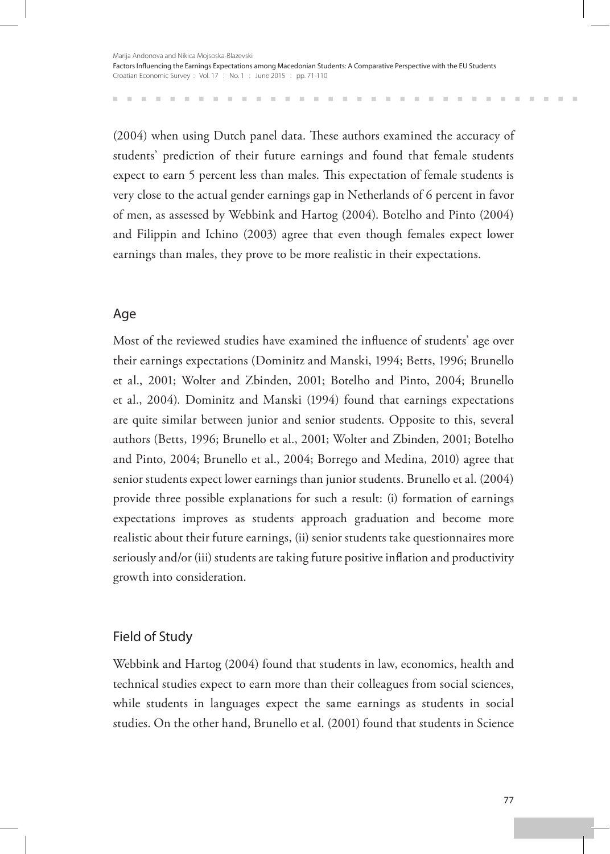(2004) when using Dutch panel data. These authors examined the accuracy of students' prediction of their future earnings and found that female students expect to earn 5 percent less than males. This expectation of female students is very close to the actual gender earnings gap in Netherlands of 6 percent in favor of men, as assessed by Webbink and Hartog (2004). Botelho and Pinto (2004) and Filippin and Ichino (2003) agree that even though females expect lower earnings than males, they prove to be more realistic in their expectations.

## Age

Most of the reviewed studies have examined the influence of students' age over their earnings expectations (Dominitz and Manski, 1994; Betts, 1996; Brunello et al., 2001; Wolter and Zbinden, 2001; Botelho and Pinto, 2004; Brunello et al., 2004). Dominitz and Manski (1994) found that earnings expectations are quite similar between junior and senior students. Opposite to this, several authors (Betts, 1996; Brunello et al., 2001; Wolter and Zbinden, 2001; Botelho and Pinto, 2004; Brunello et al., 2004; Borrego and Medina, 2010) agree that senior students expect lower earnings than junior students. Brunello et al. (2004) provide three possible explanations for such a result: (i) formation of earnings expectations improves as students approach graduation and become more realistic about their future earnings, (ii) senior students take questionnaires more seriously and/or (iii) students are taking future positive inflation and productivity growth into consideration.

## Field of Study

Webbink and Hartog (2004) found that students in law, economics, health and technical studies expect to earn more than their colleagues from social sciences, while students in languages expect the same earnings as students in social studies. On the other hand, Brunello et al. (2001) found that students in Science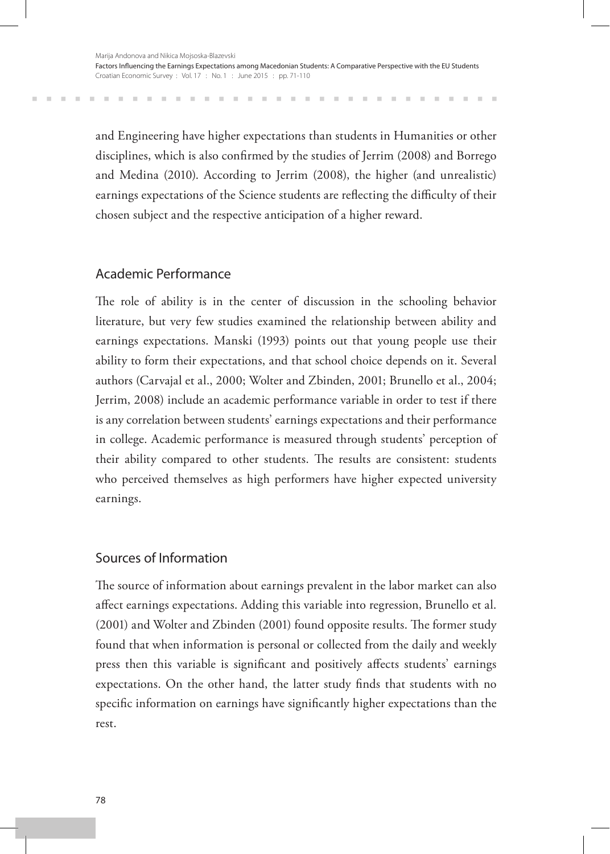and Engineering have higher expectations than students in Humanities or other disciplines, which is also confirmed by the studies of Jerrim (2008) and Borrego and Medina (2010). According to Jerrim (2008), the higher (and unrealistic) earnings expectations of the Science students are reflecting the difficulty of their chosen subject and the respective anticipation of a higher reward.

### Academic Performance

The role of ability is in the center of discussion in the schooling behavior literature, but very few studies examined the relationship between ability and earnings expectations. Manski (1993) points out that young people use their ability to form their expectations, and that school choice depends on it. Several authors (Carvajal et al., 2000; Wolter and Zbinden, 2001; Brunello et al., 2004; Jerrim, 2008) include an academic performance variable in order to test if there is any correlation between students' earnings expectations and their performance in college. Academic performance is measured through students' perception of their ability compared to other students. The results are consistent: students who perceived themselves as high performers have higher expected university earnings.

## Sources of Information

The source of information about earnings prevalent in the labor market can also affect earnings expectations. Adding this variable into regression, Brunello et al. (2001) and Wolter and Zbinden (2001) found opposite results. The former study found that when information is personal or collected from the daily and weekly press then this variable is significant and positively affects students' earnings expectations. On the other hand, the latter study finds that students with no specific information on earnings have significantly higher expectations than the rest.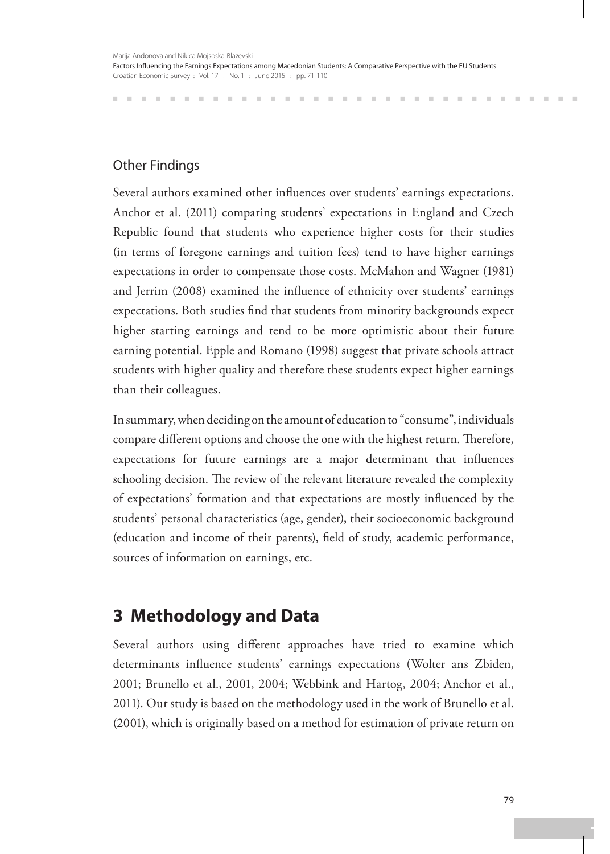## Other Findings

Several authors examined other influences over students' earnings expectations. Anchor et al. (2011) comparing students' expectations in England and Czech Republic found that students who experience higher costs for their studies (in terms of foregone earnings and tuition fees) tend to have higher earnings expectations in order to compensate those costs. McMahon and Wagner (1981) and Jerrim (2008) examined the influence of ethnicity over students' earnings expectations. Both studies find that students from minority backgrounds expect higher starting earnings and tend to be more optimistic about their future earning potential. Epple and Romano (1998) suggest that private schools attract students with higher quality and therefore these students expect higher earnings than their colleagues.

In summary, when deciding on the amount of education to "consume", individuals compare different options and choose the one with the highest return. Therefore, expectations for future earnings are a major determinant that influences schooling decision. The review of the relevant literature revealed the complexity of expectations' formation and that expectations are mostly influenced by the students' personal characteristics (age, gender), their socioeconomic background (education and income of their parents), field of study, academic performance, sources of information on earnings, etc.

## **3 Methodology and Data**

Several authors using different approaches have tried to examine which determinants influence students' earnings expectations (Wolter ans Zbiden, 2001; Brunello et al., 2001, 2004; Webbink and Hartog, 2004; Anchor et al., 2011). Our study is based on the methodology used in the work of Brunello et al. (2001), which is originally based on a method for estimation of private return on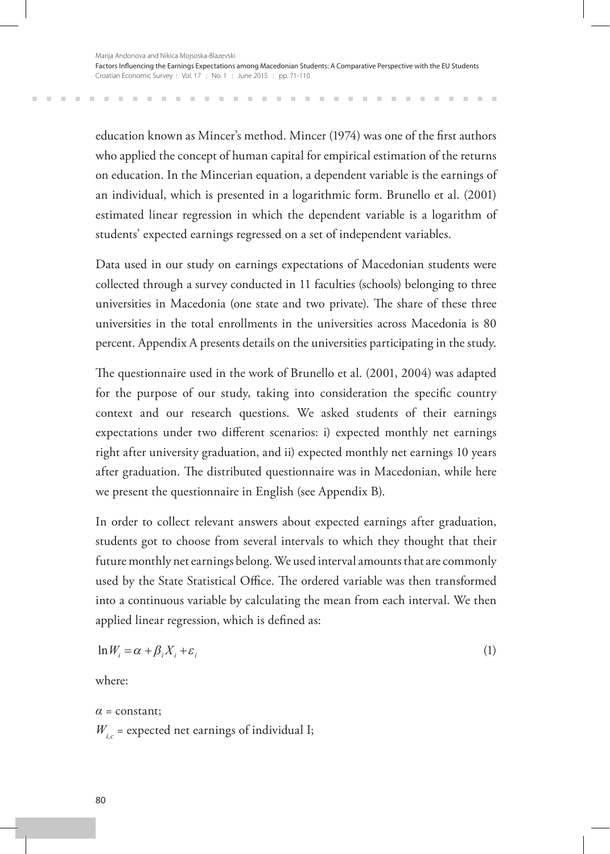education known as Mincer's method. Mincer (1974) was one of the first authors who applied the concept of human capital for empirical estimation of the returns on education. In the Mincerian equation, a dependent variable is the earnings of an individual, which is presented in a logarithmic form. Brunello et al. (2001) estimated linear regression in which the dependent variable is a logarithm of students' expected earnings regressed on a set of independent variables.

Data used in our study on earnings expectations of Macedonian students were collected through a survey conducted in 11 faculties (schools) belonging to three universities in Macedonia (one state and two private). The share of these three universities in the total enrollments in the universities across Macedonia is 80 percent. Appendix A presents details on the universities participating in the study.

The questionnaire used in the work of Brunello et al. (2001, 2004) was adapted for the purpose of our study, taking into consideration the specific country context and our research questions. We asked students of their earnings expectations under two different scenarios: i) expected monthly net earnings right after university graduation, and ii) expected monthly net earnings 10 years after graduation. The distributed questionnaire was in Macedonian, while here we present the questionnaire in English (see Appendix B).

In order to collect relevant answers about expected earnings after graduation, students got to choose from several intervals to which they thought that their future monthly net earnings belong. We used interval amounts that are commonly used by the State Statistical Office. The ordered variable was then transformed into a continuous variable by calculating the mean from each interval. We then applied linear regression, which is defined as:

$$
\ln W_i = \alpha + \beta_i X_i + \varepsilon_i \tag{1}
$$

where:

 $\alpha$  = constant;  $W_{i,c}$  = expected net earnings of individual I;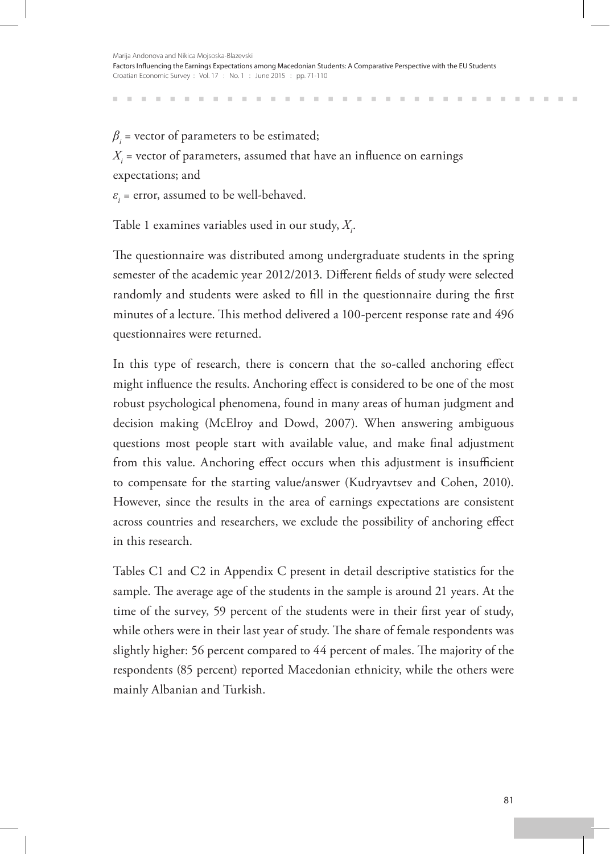$\beta$ <sub>*i*</sub> = vector of parameters to be estimated;

 $X_i$  = vector of parameters, assumed that have an influence on earnings expectations; and

*ε<sup>i</sup>* = error, assumed to be well-behaved.

Table 1 examines variables used in our study,  $X_i$ .

The questionnaire was distributed among undergraduate students in the spring semester of the academic year 2012/2013. Different fields of study were selected randomly and students were asked to fill in the questionnaire during the first minutes of a lecture. This method delivered a 100-percent response rate and 496 questionnaires were returned.

In this type of research, there is concern that the so-called anchoring effect might influence the results. Anchoring effect is considered to be one of the most robust psychological phenomena, found in many areas of human judgment and decision making (McElroy and Dowd, 2007). When answering ambiguous questions most people start with available value, and make final adjustment from this value. Anchoring effect occurs when this adjustment is insufficient to compensate for the starting value/answer (Kudryavtsev and Cohen, 2010). However, since the results in the area of earnings expectations are consistent across countries and researchers, we exclude the possibility of anchoring effect in this research.

Tables C1 and C2 in Appendix C present in detail descriptive statistics for the sample. The average age of the students in the sample is around 21 years. At the time of the survey, 59 percent of the students were in their first year of study, while others were in their last year of study. The share of female respondents was slightly higher: 56 percent compared to 44 percent of males. The majority of the respondents (85 percent) reported Macedonian ethnicity, while the others were mainly Albanian and Turkish.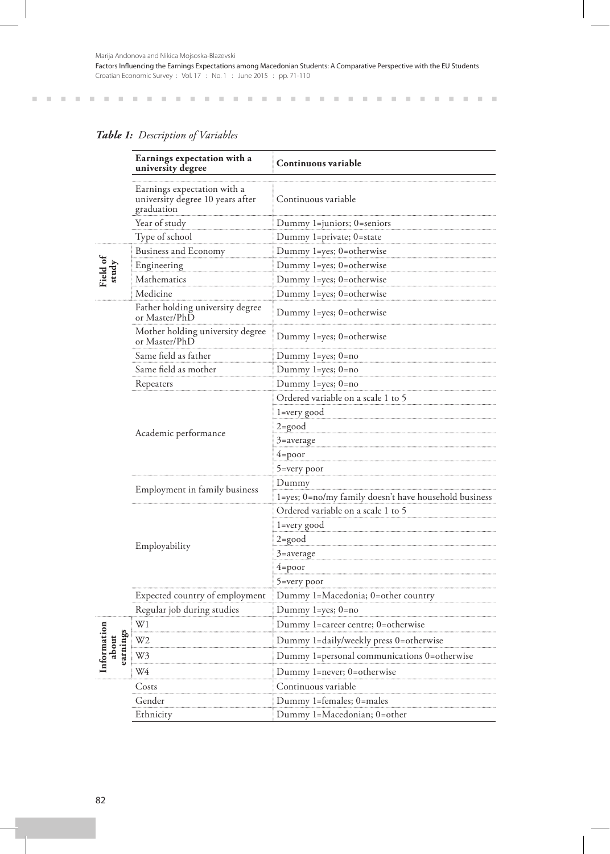#### *Table 1: Description of Variables*

|                                 | Earnings expectation with a<br>university degree                              | Continuous variable                                   |
|---------------------------------|-------------------------------------------------------------------------------|-------------------------------------------------------|
|                                 | Earnings expectation with a<br>university degree 10 years after<br>graduation | Continuous variable                                   |
|                                 | Year of study                                                                 | Dummy 1=juniors; 0=seniors                            |
|                                 | Type of school                                                                | Dummy 1=private; 0=state                              |
|                                 | <b>Business and Economy</b>                                                   | Dummy 1=yes; 0=otherwise                              |
| Field of<br>study               | Engineering                                                                   | Dummy 1=yes; 0=otherwise                              |
|                                 | Mathematics                                                                   | Dummy 1=yes; 0=otherwise                              |
|                                 | Medicine                                                                      | Dummy 1=yes; 0=otherwise                              |
|                                 | Father holding university degree<br>or Master/PhD                             | Dummy 1=yes; 0=otherwise                              |
|                                 | Mother holding university degree<br>or Master/PhD                             | Dummy 1=yes; 0=otherwise                              |
|                                 | Same field as father                                                          | Dummy 1=yes; 0=no                                     |
|                                 | Same field as mother                                                          | Dummy 1=yes; 0=no                                     |
|                                 | Repeaters                                                                     | Dummy $1 = yes$ ; $0 = no$                            |
|                                 |                                                                               | Ordered variable on a scale 1 to 5                    |
|                                 |                                                                               | 1=very good                                           |
|                                 | Academic performance                                                          | 2=good                                                |
|                                 |                                                                               | 3=average                                             |
|                                 |                                                                               | 4=poor                                                |
|                                 |                                                                               | 5=very poor                                           |
|                                 | Employment in family business                                                 | Dummy                                                 |
|                                 |                                                                               | 1=yes; 0=no/my family doesn't have household business |
|                                 |                                                                               | Ordered variable on a scale 1 to 5                    |
|                                 |                                                                               | 1=very good                                           |
|                                 | Employability                                                                 | $2 = \text{good}$                                     |
|                                 |                                                                               | 3=average                                             |
|                                 |                                                                               | 4=poor                                                |
|                                 |                                                                               | 5=very poor                                           |
|                                 | Expected country of employment                                                | Dummy 1=Macedonia; 0=other country                    |
|                                 | Regular job during studies                                                    | Dummy $1 = yes$ ; $0 = no$                            |
|                                 | W1                                                                            | Dummy 1=career centre; 0=otherwise                    |
|                                 | W <sub>2</sub>                                                                | Dummy 1=daily/weekly press 0=otherwise                |
| Information<br>arnings<br>about | W3                                                                            | Dummy 1=personal communications 0=otherwise           |
|                                 | W4                                                                            | Dummy 1=never; 0=otherwise                            |
|                                 | Costs                                                                         | Continuous variable                                   |
|                                 | Gender                                                                        | Dummy 1=females; 0=males                              |
|                                 | Ethnicity                                                                     | Dummy 1=Macedonian; 0=other                           |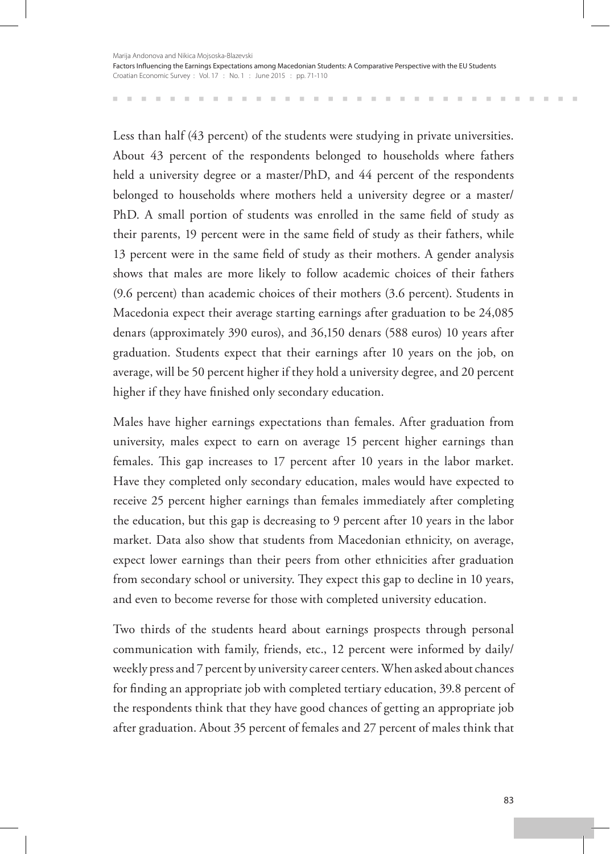Less than half (43 percent) of the students were studying in private universities. About 43 percent of the respondents belonged to households where fathers held a university degree or a master/PhD, and 44 percent of the respondents belonged to households where mothers held a university degree or a master/ PhD. A small portion of students was enrolled in the same field of study as their parents, 19 percent were in the same field of study as their fathers, while 13 percent were in the same field of study as their mothers. A gender analysis shows that males are more likely to follow academic choices of their fathers (9.6 percent) than academic choices of their mothers (3.6 percent). Students in Macedonia expect their average starting earnings after graduation to be 24,085 denars (approximately 390 euros), and 36,150 denars (588 euros) 10 years after graduation. Students expect that their earnings after 10 years on the job, on average, will be 50 percent higher if they hold a university degree, and 20 percent higher if they have finished only secondary education.

Males have higher earnings expectations than females. After graduation from university, males expect to earn on average 15 percent higher earnings than females. This gap increases to 17 percent after 10 years in the labor market. Have they completed only secondary education, males would have expected to receive 25 percent higher earnings than females immediately after completing the education, but this gap is decreasing to 9 percent after 10 years in the labor market. Data also show that students from Macedonian ethnicity, on average, expect lower earnings than their peers from other ethnicities after graduation from secondary school or university. They expect this gap to decline in 10 years, and even to become reverse for those with completed university education.

Two thirds of the students heard about earnings prospects through personal communication with family, friends, etc., 12 percent were informed by daily/ weekly press and 7 percent by university career centers. When asked about chances for finding an appropriate job with completed tertiary education, 39.8 percent of the respondents think that they have good chances of getting an appropriate job after graduation. About 35 percent of females and 27 percent of males think that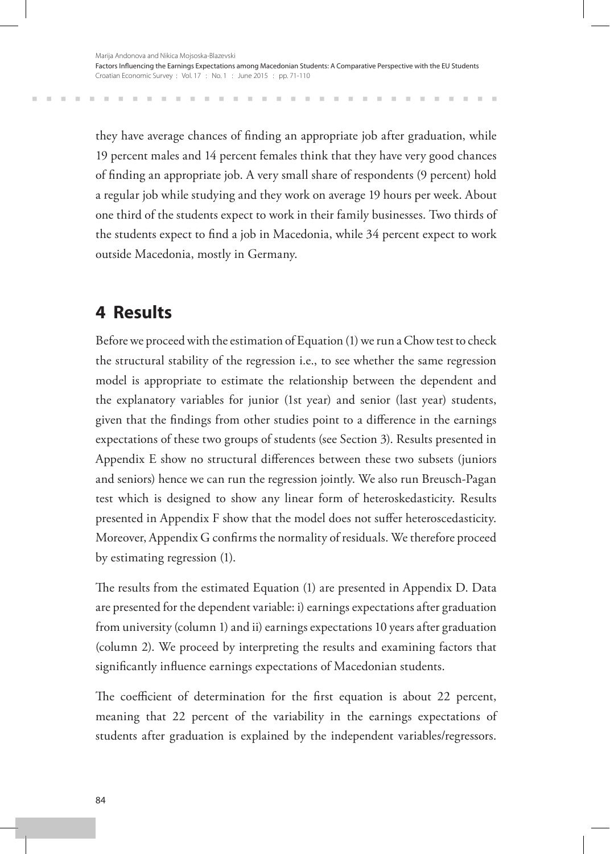they have average chances of finding an appropriate job after graduation, while 19 percent males and 14 percent females think that they have very good chances of finding an appropriate job. A very small share of respondents (9 percent) hold a regular job while studying and they work on average 19 hours per week. About one third of the students expect to work in their family businesses. Two thirds of the students expect to find a job in Macedonia, while 34 percent expect to work outside Macedonia, mostly in Germany.

## **4 Results**

Before we proceed with the estimation of Equation (1) we run a Chow test to check the structural stability of the regression i.e., to see whether the same regression model is appropriate to estimate the relationship between the dependent and the explanatory variables for junior (1st year) and senior (last year) students, given that the findings from other studies point to a difference in the earnings expectations of these two groups of students (see Section 3). Results presented in Appendix E show no structural differences between these two subsets (juniors and seniors) hence we can run the regression jointly. We also run Breusch-Pagan test which is designed to show any linear form of heteroskedasticity. Results presented in Appendix F show that the model does not suffer heteroscedasticity. Moreover, Appendix G confirms the normality of residuals. We therefore proceed by estimating regression (1).

The results from the estimated Equation (1) are presented in Appendix D. Data are presented for the dependent variable: i) earnings expectations after graduation from university (column 1) and ii) earnings expectations 10 years after graduation (column 2). We proceed by interpreting the results and examining factors that significantly influence earnings expectations of Macedonian students.

The coefficient of determination for the first equation is about 22 percent, meaning that 22 percent of the variability in the earnings expectations of students after graduation is explained by the independent variables/regressors.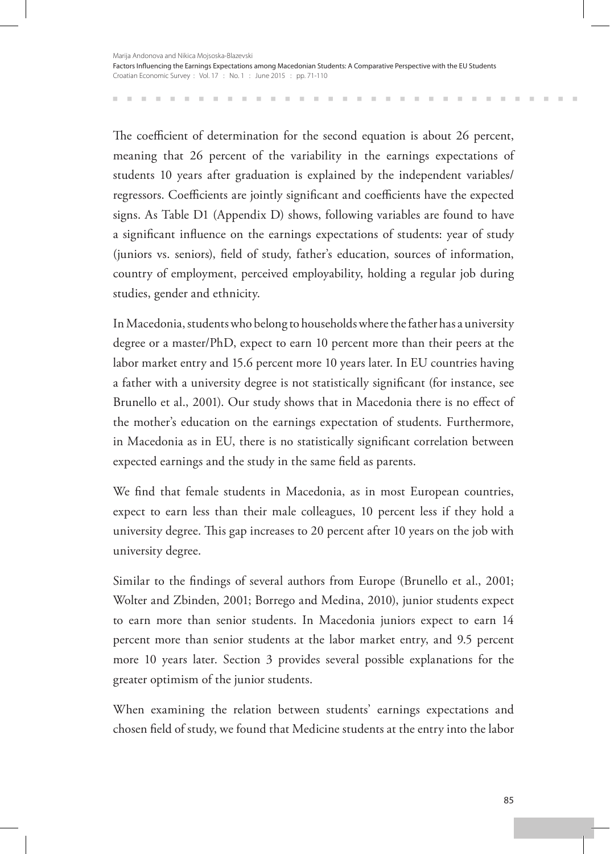The coefficient of determination for the second equation is about 26 percent, meaning that 26 percent of the variability in the earnings expectations of students 10 years after graduation is explained by the independent variables/ regressors. Coefficients are jointly significant and coefficients have the expected signs. As Table D1 (Appendix D) shows, following variables are found to have a significant influence on the earnings expectations of students: year of study (juniors vs. seniors), field of study, father's education, sources of information, country of employment, perceived employability, holding a regular job during studies, gender and ethnicity.

In Macedonia, students who belong to households where the father has a university degree or a master/PhD, expect to earn 10 percent more than their peers at the labor market entry and 15.6 percent more 10 years later. In EU countries having a father with a university degree is not statistically significant (for instance, see Brunello et al., 2001). Our study shows that in Macedonia there is no effect of the mother's education on the earnings expectation of students. Furthermore, in Macedonia as in EU, there is no statistically significant correlation between expected earnings and the study in the same field as parents.

We find that female students in Macedonia, as in most European countries, expect to earn less than their male colleagues, 10 percent less if they hold a university degree. This gap increases to 20 percent after 10 years on the job with university degree.

Similar to the findings of several authors from Europe (Brunello et al., 2001; Wolter and Zbinden, 2001; Borrego and Medina, 2010), junior students expect to earn more than senior students. In Macedonia juniors expect to earn 14 percent more than senior students at the labor market entry, and 9.5 percent more 10 years later. Section 3 provides several possible explanations for the greater optimism of the junior students.

When examining the relation between students' earnings expectations and chosen field of study, we found that Medicine students at the entry into the labor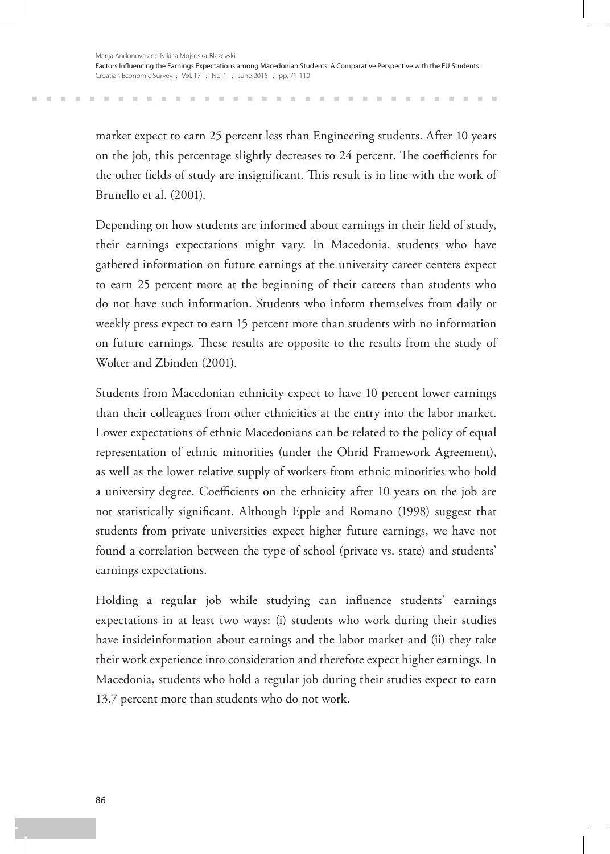market expect to earn 25 percent less than Engineering students. After 10 years on the job, this percentage slightly decreases to 24 percent. The coefficients for the other fields of study are insignificant. This result is in line with the work of Brunello et al. (2001).

Depending on how students are informed about earnings in their field of study, their earnings expectations might vary. In Macedonia, students who have gathered information on future earnings at the university career centers expect to earn 25 percent more at the beginning of their careers than students who do not have such information. Students who inform themselves from daily or weekly press expect to earn 15 percent more than students with no information on future earnings. These results are opposite to the results from the study of Wolter and Zbinden (2001).

Students from Macedonian ethnicity expect to have 10 percent lower earnings than their colleagues from other ethnicities at the entry into the labor market. Lower expectations of ethnic Macedonians can be related to the policy of equal representation of ethnic minorities (under the Ohrid Framework Agreement), as well as the lower relative supply of workers from ethnic minorities who hold a university degree. Coefficients on the ethnicity after 10 years on the job are not statistically significant. Although Epple and Romano (1998) suggest that students from private universities expect higher future earnings, we have not found a correlation between the type of school (private vs. state) and students' earnings expectations.

Holding a regular job while studying can influence students' earnings expectations in at least two ways: (i) students who work during their studies have insideinformation about earnings and the labor market and (ii) they take their work experience into consideration and therefore expect higher earnings. In Macedonia, students who hold a regular job during their studies expect to earn 13.7 percent more than students who do not work.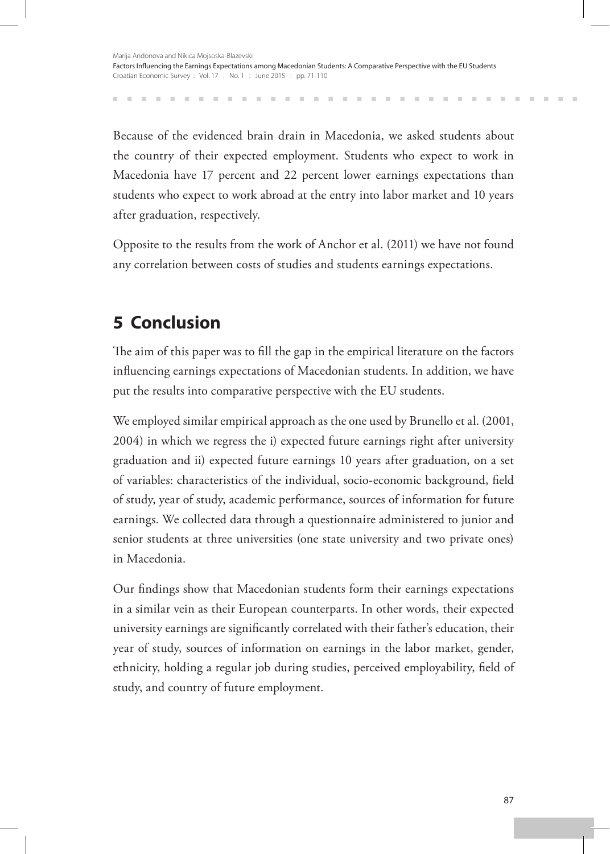Because of the evidenced brain drain in Macedonia, we asked students about the country of their expected employment. Students who expect to work in Macedonia have 17 percent and 22 percent lower earnings expectations than students who expect to work abroad at the entry into labor market and 10 years after graduation, respectively.

Opposite to the results from the work of Anchor et al. (2011) we have not found any correlation between costs of studies and students earnings expectations.

# **5 Conclusion**

The aim of this paper was to fill the gap in the empirical literature on the factors influencing earnings expectations of Macedonian students. In addition, we have put the results into comparative perspective with the EU students.

We employed similar empirical approach as the one used by Brunello et al. (2001, 2004) in which we regress the i) expected future earnings right after university graduation and ii) expected future earnings 10 years after graduation, on a set of variables: characteristics of the individual, socio-economic background, field of study, year of study, academic performance, sources of information for future earnings. We collected data through a questionnaire administered to junior and senior students at three universities (one state university and two private ones) in Macedonia.

Our findings show that Macedonian students form their earnings expectations in a similar vein as their European counterparts. In other words, their expected university earnings are significantly correlated with their father's education, their year of study, sources of information on earnings in the labor market, gender, ethnicity, holding a regular job during studies, perceived employability, field of study, and country of future employment.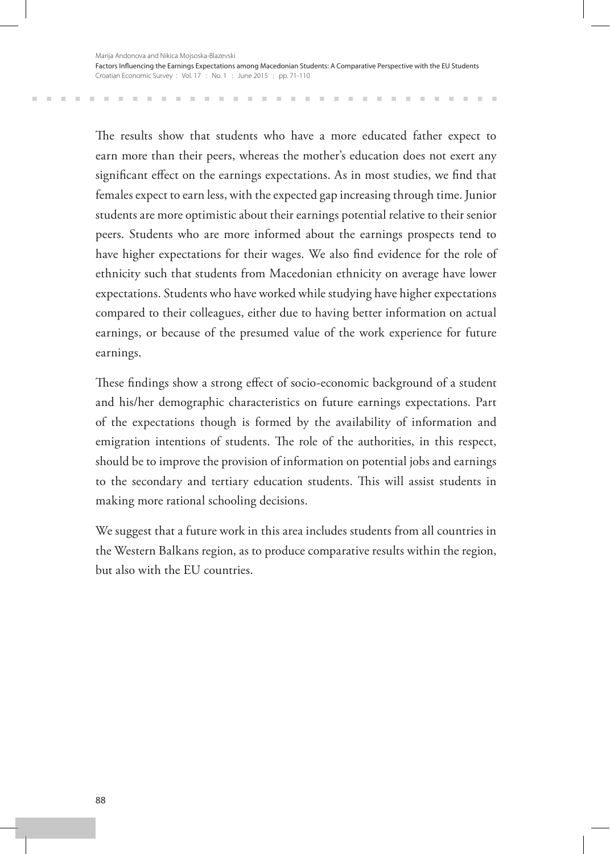The results show that students who have a more educated father expect to earn more than their peers, whereas the mother's education does not exert any significant effect on the earnings expectations. As in most studies, we find that females expect to earn less, with the expected gap increasing through time. Junior students are more optimistic about their earnings potential relative to their senior peers. Students who are more informed about the earnings prospects tend to have higher expectations for their wages. We also find evidence for the role of ethnicity such that students from Macedonian ethnicity on average have lower expectations. Students who have worked while studying have higher expectations compared to their colleagues, either due to having better information on actual earnings, or because of the presumed value of the work experience for future earnings.

These findings show a strong effect of socio-economic background of a student and his/her demographic characteristics on future earnings expectations. Part of the expectations though is formed by the availability of information and emigration intentions of students. The role of the authorities, in this respect, should be to improve the provision of information on potential jobs and earnings to the secondary and tertiary education students. This will assist students in making more rational schooling decisions.

We suggest that a future work in this area includes students from all countries in the Western Balkans region, as to produce comparative results within the region, but also with the EU countries.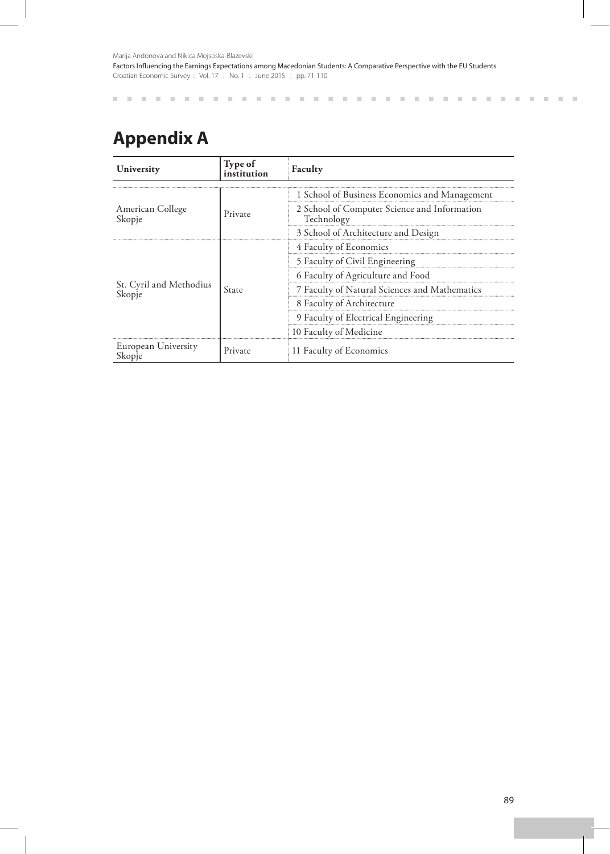# **Appendix A**

| University                        | Type of<br>institution | Faculty                                                    |  |  |  |
|-----------------------------------|------------------------|------------------------------------------------------------|--|--|--|
|                                   |                        | 1 School of Business Economics and Management              |  |  |  |
| American College<br>Skopje        | Private                | 2 School of Computer Science and Information<br>Technology |  |  |  |
|                                   |                        | 3 School of Architecture and Design                        |  |  |  |
|                                   |                        | 4 Faculty of Economics                                     |  |  |  |
|                                   | State                  | 5 Faculty of Civil Engineering                             |  |  |  |
|                                   |                        | 6 Faculty of Agriculture and Food                          |  |  |  |
| St. Cyril and Methodius<br>Skopje |                        | 7 Faculty of Natural Sciences and Mathematics              |  |  |  |
|                                   |                        | 8 Faculty of Architecture                                  |  |  |  |
|                                   |                        | 9 Faculty of Electrical Engineering                        |  |  |  |
|                                   |                        | 10 Faculty of Medicine                                     |  |  |  |
| European University<br>Skopje     | Private                | 11 Faculty of Economics                                    |  |  |  |

л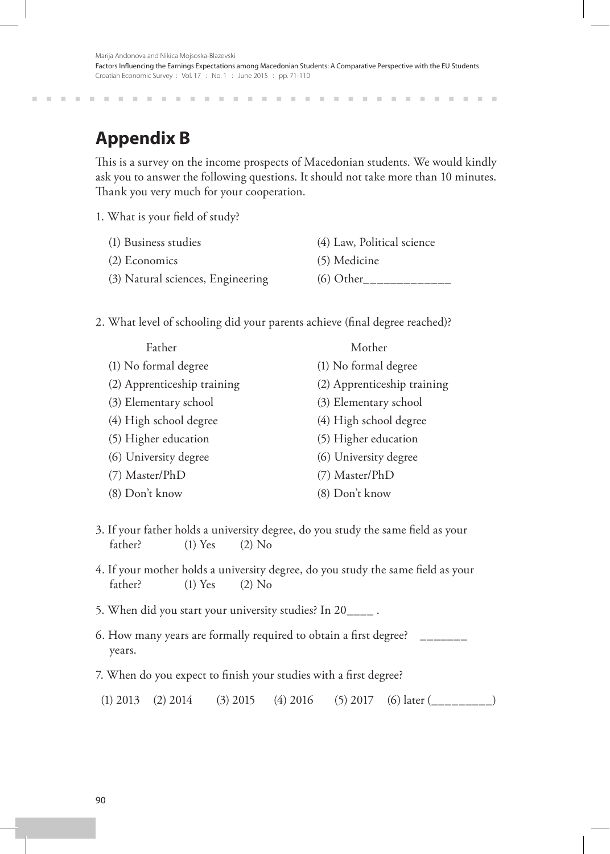# **Appendix B**

This is a survey on the income prospects of Macedonian students. We would kindly ask you to answer the following questions. It should not take more than 10 minutes. Thank you very much for your cooperation.

1. What is your field of study?

- (1) Business studies (4) Law, Political science
- (2) Economics (5) Medicine
	-
- (3) Natural sciences, Engineering  $(6)$  Other
- 2. What level of schooling did your parents achieve (final degree reached)?

| Father                      | Mother                      |
|-----------------------------|-----------------------------|
| (1) No formal degree        | (1) No formal degree        |
| (2) Apprenticeship training | (2) Apprenticeship training |
| (3) Elementary school       | (3) Elementary school       |
| (4) High school degree      | (4) High school degree      |
| (5) Higher education        | (5) Higher education        |
| (6) University degree       | (6) University degree       |
| (7) Master/PhD              | (7) Master/PhD              |
| (8) Don't know              | (8) Don't know              |

- 3. If your father holds a university degree, do you study the same field as your father? (1) Yes (2) No
- 4. If your mother holds a university degree, do you study the same field as your father? (1) Yes (2) No
- 5. When did you start your university studies? In 20\_\_\_\_ .
- 6. How many years are formally required to obtain a first degree? \_\_\_\_\_\_\_ years.
- 7. When do you expect to finish your studies with a first degree?
- (1) 2013 (2) 2014 (3) 2015 (4) 2016 (5) 2017 (6) later (\_\_\_\_\_\_\_\_)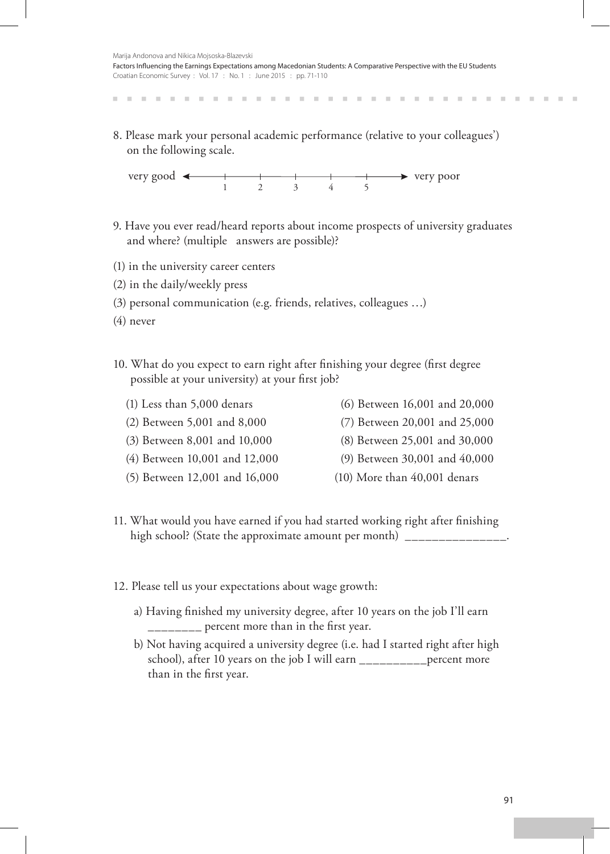8. Please mark your personal academic performance (relative to your colleagues') on the following scale.



- 9. Have you ever read/heard reports about income prospects of university graduates and where? (multiple answers are possible)?
- (1) in the university career centers
- (2) in the daily/weekly press
- (3) personal communication (e.g. friends, relatives, colleagues …)
- (4) never
- 10. What do you expect to earn right after finishing your degree (first degree possible at your university) at your first job?
	-
	- (1) Less than 5,000 denars (6) Between 16,001 and 20,000
	- (2) Between 5,001 and 8,000 (7) Between 20,001 and 25,000
	- (3) Between 8,001 and 10,000 (8) Between 25,001 and 30,000
	-
	-
- 
- 
- (4) Between 10,001 and 12,000 (9) Between 30,001 and 40,000
- (5) Between 12,001 and 16,000 (10) More than 40,001 denars
- 11. What would you have earned if you had started working right after finishing high school? (State the approximate amount per month) \_\_\_\_\_\_\_\_
- 12. Please tell us your expectations about wage growth:
	- a) Having finished my university degree, after 10 years on the job I'll earn \_\_\_\_\_\_\_\_ percent more than in the first year.
	- b) Not having acquired a university degree (i.e. had I started right after high school), after 10 years on the job I will earn \_\_\_\_\_\_\_\_\_\_percent more than in the first year.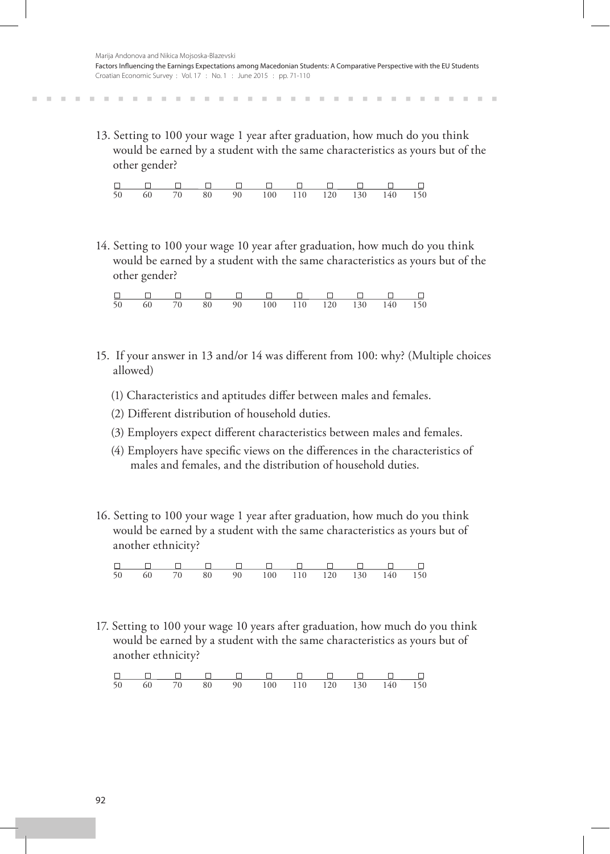13. Setting to 100 your wage 1 year after graduation, how much do you think would be earned by a student with the same characteristics as yours but of the other gender?

|  |  | 50  60  70  80  90  100  110  120  130  140  150 |  |  |  |
|--|--|--------------------------------------------------|--|--|--|

14. Setting to 100 your wage 10 year after graduation, how much do you think would be earned by a student with the same characteristics as yours but of the other gender?

|  |  | 000000000000                                     |  |  |  |
|--|--|--------------------------------------------------|--|--|--|
|  |  | 50  60  70  80  90  100  110  120  130  140  150 |  |  |  |

- 15. If your answer in 13 and/or 14 was different from 100: why? (Multiple choices allowed)
	- (1) Characteristics and aptitudes differ between males and females.
	- (2) Different distribution of household duties.
	- (3) Employers expect different characteristics between males and females.
	- (4) Employers have specific views on the differences in the characteristics of males and females, and the distribution of household duties.
- 16. Setting to 100 your wage 1 year after graduation, how much do you think would be earned by a student with the same characteristics as yours but of another ethnicity?

|  |  | 50  60  70  80  90  100  110  120  130  140  150 |  |  |  |
|--|--|--------------------------------------------------|--|--|--|

17. Setting to 100 your wage 10 years after graduation, how much do you think would be earned by a student with the same characteristics as yours but of another ethnicity?

50 60 70 80 90 100 110 120 130 140 150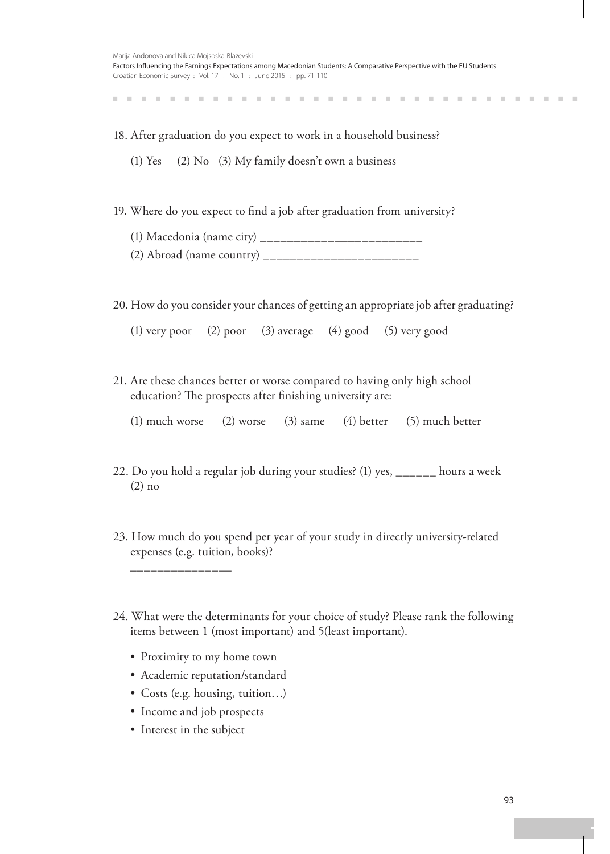| Marija Andonova and Nikica Mojsoska-Blazevski                                                                           |
|-------------------------------------------------------------------------------------------------------------------------|
| Factors Influencing the Earnings Expectations among Macedonian Students: A Comparative Perspective with the EU Students |
| Croatian Economic Survey: Vol. 17: No. 1: June 2015: pp. 71-110                                                         |

**COLLECT** 

. . . . . . . . . . . . . . . . . .

18. After graduation do you expect to work in a household business?

(1) Yes (2) No (3) My family doesn't own a business

. . . . . . . . . . . . . .

19. Where do you expect to find a job after graduation from university?

(1) Macedonia (name city) \_\_\_\_\_\_\_\_\_\_\_\_\_\_\_\_\_\_\_\_\_\_\_\_

(2) Abroad (name country) \_\_\_\_\_\_\_\_\_\_\_\_\_\_\_\_\_\_\_\_\_\_\_

20. How do you consider your chances of getting an appropriate job after graduating?

(1) very poor (2) poor (3) average (4) good (5) very good

21. Are these chances better or worse compared to having only high school education? The prospects after finishing university are:

(1) much worse (2) worse (3) same (4) better (5) much better

- 22. Do you hold a regular job during your studies? (1) yes, \_\_\_\_\_\_ hours a week (2) no
- 23. How much do you spend per year of your study in directly university-related expenses (e.g. tuition, books)?
- 24. What were the determinants for your choice of study? Please rank the following items between 1 (most important) and 5(least important).
	- Proximity to my home town
	- Academic reputation/standard
	- Costs (e.g. housing, tuition...)
	- • Income and job prospects
	- Interest in the subject

\_\_\_\_\_\_\_\_\_\_\_\_\_\_\_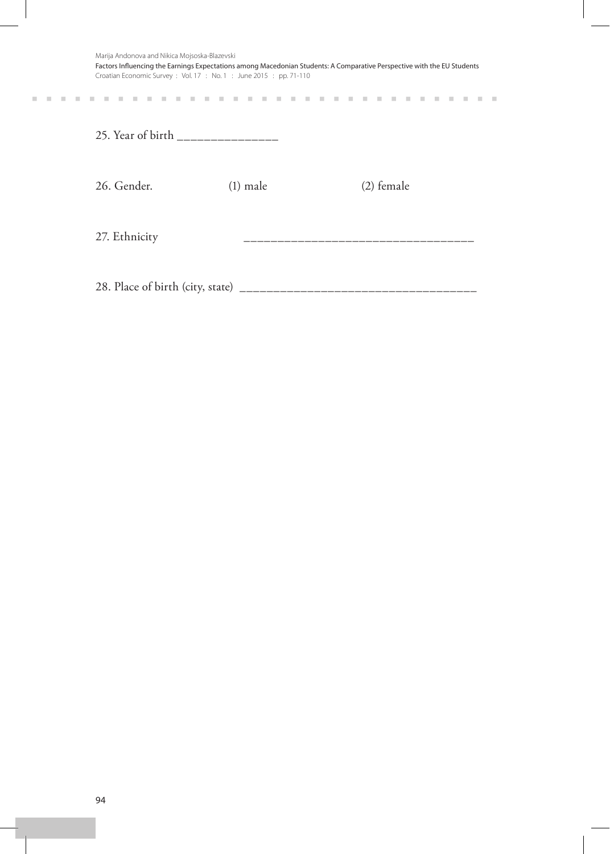| Marija Andonova and Nikica Mojsoska-Blazevski<br>Factors Influencing the Earnings Expectations among Macedonian Students: A Comparative Perspective with the EU Students<br>Croatian Economic Survey: Vol. 17: No. 1: June 2015: pp. 71-110 |            |  |              |  |  |  |  |  |
|---------------------------------------------------------------------------------------------------------------------------------------------------------------------------------------------------------------------------------------------|------------|--|--------------|--|--|--|--|--|
|                                                                                                                                                                                                                                             |            |  |              |  |  |  |  |  |
| 25. Year of birth __________________                                                                                                                                                                                                        |            |  |              |  |  |  |  |  |
| 26. Gender.                                                                                                                                                                                                                                 | $(1)$ male |  | $(2)$ female |  |  |  |  |  |
| 27. Ethnicity                                                                                                                                                                                                                               |            |  |              |  |  |  |  |  |
| 28. Place of birth (city, state) _                                                                                                                                                                                                          |            |  |              |  |  |  |  |  |

 $\mathcal{H}=\mathcal{H}=\mathcal{H}=\mathcal{H}$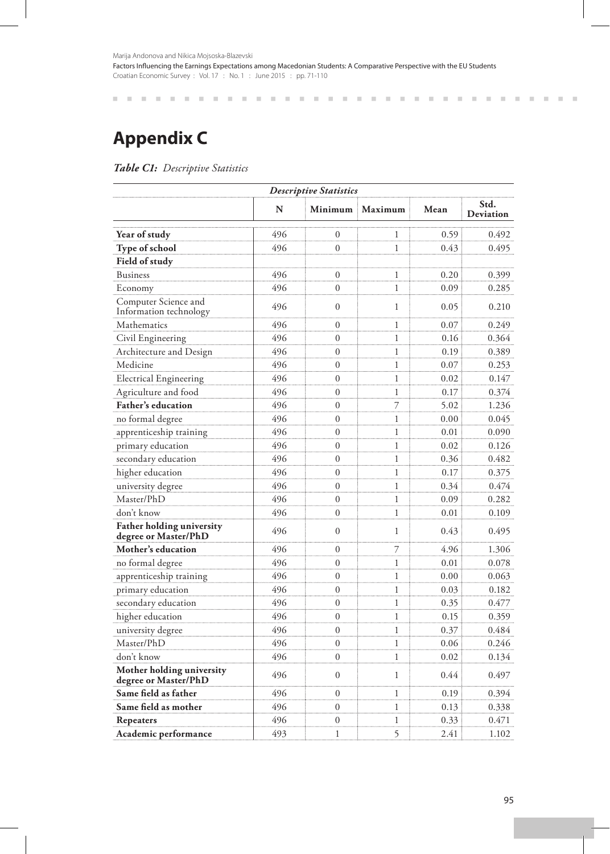Marija Andonova and Nikica Mojsoska-Blazevski

Factors Influencing the Earnings Expectations among Macedonian Students: A Comparative Perspective with the EU Students Croatian Economic Survey : Vol. 17 : No. 1 : June 2015 : pp. 71-110

**Appendix C**

*Table C1: Descriptive Statistics*

| <b>Descriptive Statistics</b>                            |     |                  |              |      |                   |  |  |  |  |
|----------------------------------------------------------|-----|------------------|--------------|------|-------------------|--|--|--|--|
|                                                          | N   | Minimum          | Maximum      | Mean | Std.<br>Deviation |  |  |  |  |
| Year of study                                            | 496 | $\overline{0}$   | 1            | 0.59 | 0.492             |  |  |  |  |
| Type of school                                           | 496 | $\boldsymbol{0}$ | 1            | 0.43 | 0.495             |  |  |  |  |
| Field of study                                           |     |                  |              |      |                   |  |  |  |  |
| <b>Business</b>                                          | 496 | $\theta$         | 1            | 0.20 | 0.399             |  |  |  |  |
| Economy                                                  | 496 | $\overline{0}$   | $\mathbf{1}$ | 0.09 | 0.285             |  |  |  |  |
| Computer Science and<br>Information technology           | 496 | $\theta$         | $\mathbf{1}$ | 0.05 | 0.210             |  |  |  |  |
| Mathematics                                              | 496 | $\theta$         | 1            | 0.07 | 0.249             |  |  |  |  |
| Civil Engineering                                        | 496 | $\theta$         | 1            | 0.16 | 0.364             |  |  |  |  |
| Architecture and Design                                  | 496 | $\boldsymbol{0}$ | 1            | 0.19 | 0.389             |  |  |  |  |
| Medicine                                                 | 496 | $\theta$         | 1            | 0.07 | 0.253             |  |  |  |  |
| <b>Electrical Engineering</b>                            | 496 | $\boldsymbol{0}$ | 1            | 0.02 | 0.147             |  |  |  |  |
| Agriculture and food                                     | 496 | $\mathbf{0}$     | $\mathbf{1}$ | 0.17 | 0.374             |  |  |  |  |
| Father's education                                       | 496 | $\boldsymbol{0}$ | 7            | 5.02 | 1.236             |  |  |  |  |
| no formal degree                                         | 496 | $\overline{0}$   | 1            | 0.00 | 0.045             |  |  |  |  |
| apprenticeship training                                  | 496 | $\overline{0}$   | 1            | 0.01 | 0.090             |  |  |  |  |
| primary education                                        | 496 | $\boldsymbol{0}$ | 1            | 0.02 | 0.126             |  |  |  |  |
| secondary education                                      | 496 | $\boldsymbol{0}$ | 1            | 0.36 | 0.482             |  |  |  |  |
| higher education                                         | 496 | $\overline{0}$   | 1            | 0.17 | 0.375             |  |  |  |  |
| university degree                                        | 496 | $\mathbf{0}$     | 1            | 0.34 | 0.474             |  |  |  |  |
| Master/PhD                                               | 496 | $\overline{0}$   | 1            | 0.09 | 0.282             |  |  |  |  |
| don't know                                               | 496 | $\overline{0}$   | 1            | 0.01 | 0.109             |  |  |  |  |
| <b>Father holding university</b><br>degree or Master/PhD | 496 | $\theta$         | 1            | 0.43 | 0.495             |  |  |  |  |
| Mother's education                                       | 496 | $\overline{0}$   | 7            | 4.96 | 1.306             |  |  |  |  |
| no formal degree                                         | 496 | $\overline{0}$   | 1            | 0.01 | 0.078             |  |  |  |  |
| apprenticeship training                                  | 496 | $\overline{0}$   | 1            | 0.00 | 0.063             |  |  |  |  |
| primary education                                        | 496 | $\theta$         | 1            | 0.03 | 0.182             |  |  |  |  |
| secondary education                                      | 496 | $\boldsymbol{0}$ | 1            | 0.35 | 0.477             |  |  |  |  |
| higher education                                         | 496 | $\overline{0}$   | 1            | 0.15 | 0.359             |  |  |  |  |
| university degree                                        | 496 | $\overline{0}$   | 1            | 0.37 | 0.484             |  |  |  |  |
| Master/PhD                                               | 496 | $\theta$         | $\mathbf{1}$ | 0.06 | 0.246             |  |  |  |  |
| don't know                                               | 496 | $\overline{0}$   | 1            | 0.02 | 0.134             |  |  |  |  |
| Mother holding university<br>degree or Master/PhD        | 496 | $\overline{0}$   | 1            | 0.44 | 0.497             |  |  |  |  |
| Same field as father                                     | 496 | $\overline{0}$   | 1            | 0.19 | 0.394             |  |  |  |  |
| Same field as mother                                     | 496 | $\boldsymbol{0}$ | 1            | 0.13 | 0.338             |  |  |  |  |
| Repeaters                                                | 496 | $\overline{0}$   | 1            | 0.33 | 0.471             |  |  |  |  |
| Academic performance                                     | 493 | 1                | 5            | 2.41 | 1.102             |  |  |  |  |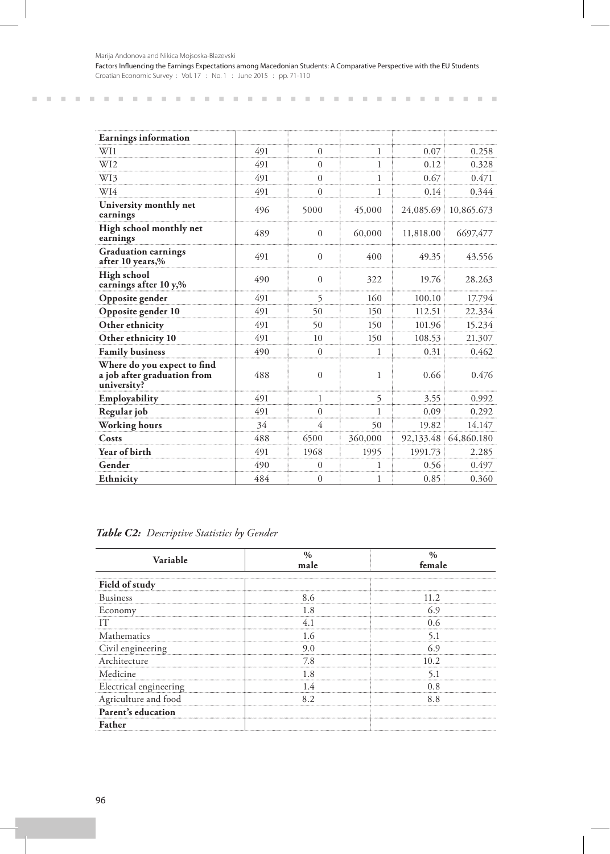| Earnings information                                                      |     |                |         |           |                      |
|---------------------------------------------------------------------------|-----|----------------|---------|-----------|----------------------|
| WI1                                                                       | 491 | $\Omega$       | 1       | 0.07      | 0.258                |
| W12                                                                       | 491 | $\Omega$       |         | 0.12      | 0.328                |
| W13                                                                       | 491 | 0              | 1       | 0.67      | 0.471                |
| WI4                                                                       | 491 | 0              |         | 0.14      | 0.344                |
| University monthly net<br>earnings                                        | 496 | 5000           | 45,000  |           | 24,085.69 10,865.673 |
| High school monthly net<br>earnings                                       | 489 | $\Omega$       | 60,000  | 11,818.00 | 6697,477             |
| <b>Graduation earnings</b><br>after 10 years,%                            | 491 | $\Omega$       | 400     | 49.35     | 43.556               |
| High school<br>earnings after 10 y,%                                      | 490 | $\Omega$       | 322     | 19.76     | 28.263               |
| Opposite gender                                                           | 491 | $\overline{5}$ | 160     | 100.10    | 17.794               |
| Opposite gender 10                                                        | 491 | 50             | 150     | 112.51    | 22.334               |
| Other ethnicity                                                           | 491 | 50             | 150     | 101.96    | 15.234               |
| Other ethnicity 10                                                        | 491 | 10             | 150     | 108.53    | 21.307               |
| <b>Family business</b>                                                    | 490 | $\Omega$       | 1       | 0.31      | 0.462                |
| Where do you expect to find<br>a job after graduation from<br>university? | 488 | $\overline{0}$ | 1       | 0.66      | 0.476                |
| Employability                                                             | 491 |                | 5       | 3.55      | 0.992                |
| Regular job                                                               | 491 | 0              | 1       | 0.09      | 0.292                |
| Working hours                                                             | 34  | 4              | 50      | 19.82     | 14.147               |
| Costs                                                                     | 488 | 6500           | 360,000 |           | 92,133.48 64,860.180 |
| Year of birth                                                             | 491 | 1968           | 1995    | 1991.73   | 2.285                |
| Gender                                                                    | 490 | 0              |         | 0.56      | 0.497                |
| Ethnicity                                                                 | 484 | $\Omega$       | 1       | 0.85      | 0.360                |

|  | Table C2: Descriptive Statistics by Gender |  |  |  |
|--|--------------------------------------------|--|--|--|
|--|--------------------------------------------|--|--|--|

| Variable                       | male | female |  |
|--------------------------------|------|--------|--|
| Field of study                 |      |        |  |
| Business                       |      |        |  |
| Economy                        |      |        |  |
|                                |      |        |  |
| athematics                     |      |        |  |
| Civil engineering              |      |        |  |
| Architecture                   |      |        |  |
| Medicine                       |      |        |  |
| Electrical engineering 1.4 0.8 |      |        |  |
| Agriculture and food           |      |        |  |
| Parent's education             |      |        |  |
|                                |      |        |  |

 $\mathbf{R}=\mathbf{R}+\mathbf{R}+\mathbf{R}$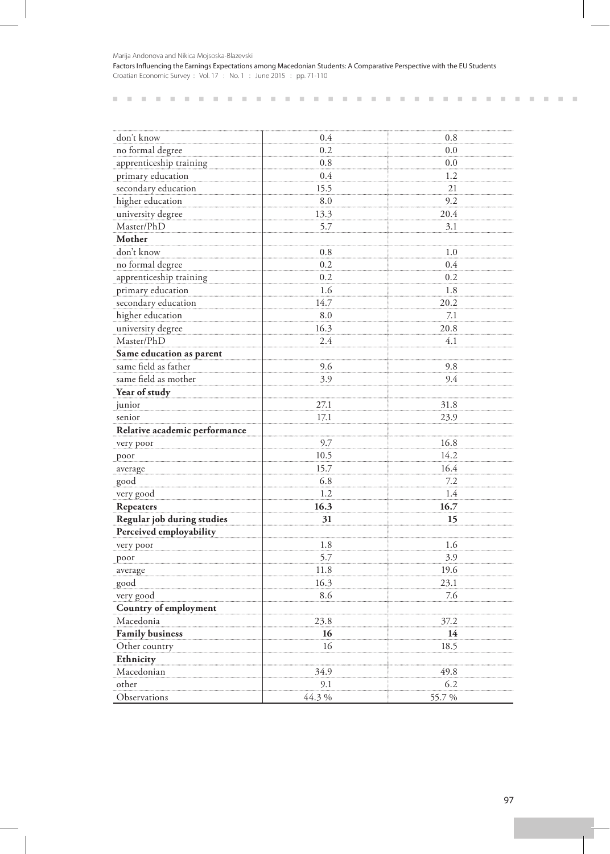Marija Andonova and Nikica Mojsoska-Blazevski

Factors Influencing the Earnings Expectations among Macedonian Students: A Comparative Perspective with the EU Students Croatian Economic Survey : Vol. 17 : No. 1 : June 2015 : pp. 71-110

| don't know                    | 0.4   | 0.8    |
|-------------------------------|-------|--------|
| no formal degree              | 0.2   | 0.0    |
| apprenticeship training       | 0.8   | 0.0    |
| primary education             | 0.4   | 1.2    |
| secondary education           | 15.5  | 21     |
| higher education              | 8.0   | 9.2    |
| university degree             | 13.3  | 20.4   |
| Master/PhD                    | 5.7   | 3.1    |
| Mother                        |       |        |
| don't know                    | 0.8   | 1.0    |
| no formal degree              | 0.2   | 0.4    |
| apprenticeship training       | 0.2   | 0.2    |
| primary education             | 1.6   | 1.8    |
| secondary education           | 14.7  | 20.2   |
| higher education              | 8.0   | 7.1    |
| university degree             | 16.3  | 20.8   |
| Master/PhD                    | 2.4   | 4.1    |
| Same education as parent      |       |        |
| same field as father          | 9.6   | 9.8    |
| same field as mother          | 3.9   | 9.4    |
| Year of study                 |       |        |
| junior                        | 27.1  | 31.8   |
| senior                        | 17.1  | 23.9   |
| Relative academic performance |       |        |
| very poor                     | 9.7   | 16.8   |
| poor                          | 10.5  | 14.2   |
| average                       | 15.7  | 16.4   |
| good                          | 6.8   | 7.2    |
| very good                     | 1.2   | 1.4    |
| Repeaters                     | 16.3  | 16.7   |
| Regular job during studies    | 31    | 15     |
| Perceived employability       |       |        |
| very poor                     | 1.8   | 1.6    |
| poor                          | 5.7   | 3.9    |
| average                       | 11.8  | 19.6   |
| good                          | 16.3  | 23.1   |
| very good                     | 8.6   | 7.6    |
| Country of employment         |       |        |
| Macedonia                     | 23.8  | 37.2   |
| <b>Family business</b>        | 16    | 14     |
| Other country                 | 16    | 18.5   |
| Ethnicity                     |       |        |
| Macedonian                    | 34.9  | 49.8   |
| other                         | 9.1   | 6.2    |
| Observations                  | 44.3% | 55.7 % |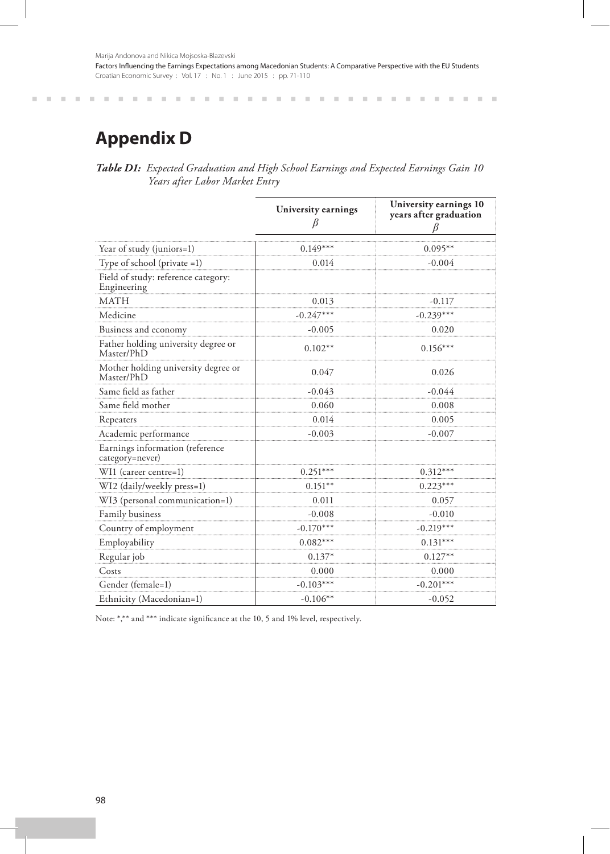Factors Influencing the Earnings Expectations among Macedonian Students: A Comparative Perspective with the EU Students Croatian Economic Survey : Vol. 17 : No. 1 : June 2015 : pp. 71-110

# **Appendix D**

*Table D1: Expected Graduation and High School Earnings and Expected Earnings Gain 10 Years after Labor Market Entry*

|                                                    | University earnings | University earnings 10<br>years after graduation |
|----------------------------------------------------|---------------------|--------------------------------------------------|
| Year of study (juniors=1)                          | $0.149***$          | $0.095**$                                        |
| Type of school (private $=1$ )                     | 0.014               | $-0.004$                                         |
| Field of study: reference category:<br>Engineering |                     |                                                  |
| MATH                                               | 0.013               | $-0.117$                                         |
| Medicine                                           | $-0.247***$         | $-0.239***$                                      |
| Business and economy                               | $-0.005$            | 0.020                                            |
| Father holding university degree or<br>Master/PhD  | $0.102**$           | $0.156***$                                       |
| Mother holding university degree or<br>Master/PhD  | 0.047               | 0.026                                            |
| Same field as father                               | -0.043              | -0.044                                           |
| Same field mother                                  | 0.060               | 0.008                                            |
| Repeaters                                          | 0.014               | 0.005                                            |
| Academic performance                               | $-0.003$            | $-0.007$                                         |
| Earnings information (reference<br>category=never) |                     |                                                  |
| WI1 (career centre=1)                              | $0.251***$          | $0.312***$                                       |
| WI2 (daily/weekly press=1)                         | $0.151***$          | $0.223***$                                       |
| WI3 (personal communication=1)                     | 0.011               | 0.057                                            |
| Family business                                    | $-0.008$            | $-0.010$                                         |
| Country of employment                              | $-0.170***$         | $-0.219***$                                      |
| Employability                                      | $0.082***$          | $0.131***$                                       |
| Regular job                                        | $0.137*$            | $0.127**$                                        |
| Costs                                              | 0.000               | 0.000                                            |
| Gender (female=1)                                  | $-0.103***$         | $-0.201***$                                      |
| Ethnicity (Macedonian=1)                           | $-0.106**$          | $-0.052$                                         |

Note: \*,\*\* and \*\*\* indicate significance at the 10, 5 and 1% level, respectively.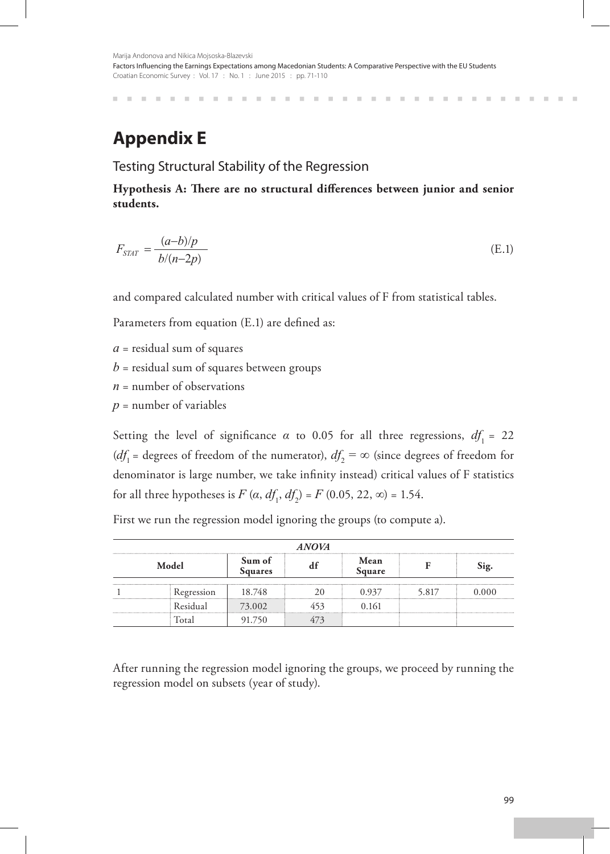## **Appendix E**

Testing Structural Stability of the Regression

**Hypothesis A: There are no structural differences between junior and senior students.**

$$
F_{STAT} = \frac{(a-b)/p}{b/(n-2p)}\tag{E.1}
$$

and compared calculated number with critical values of F from statistical tables.

Parameters from equation (E.1) are defined as:

*a* = residual sum of squares

- $b$  = residual sum of squares between groups
- $n =$  number of observations
- $p =$  number of variables

Setting the level of significance  $\alpha$  to 0.05 for all three regressions,  $df_1 = 22$ (*df*<sub>1</sub> = degrees of freedom of the numerator),  $df_2 = \infty$  (since degrees of freedom for denominator is large number, we take infinity instead) critical values of F statistics for all three hypotheses is *F* (*α*,  $df_1$ ,  $df_2$ ) = *F* (0.05, 22, ∞) = 1.54.

First we run the regression model ignoring the groups (to compute a).

| <b>ANOVA</b><br>Sum of<br>Mean<br>Model<br>Sig.<br>Square<br><b>Squares</b> |          |        |  |       |  |  |  |  |
|-----------------------------------------------------------------------------|----------|--------|--|-------|--|--|--|--|
|                                                                             |          |        |  |       |  |  |  |  |
|                                                                             | Residual | 73.002 |  | 0.161 |  |  |  |  |
|                                                                             | Total    | 91.750 |  |       |  |  |  |  |

After running the regression model ignoring the groups, we proceed by running the regression model on subsets (year of study).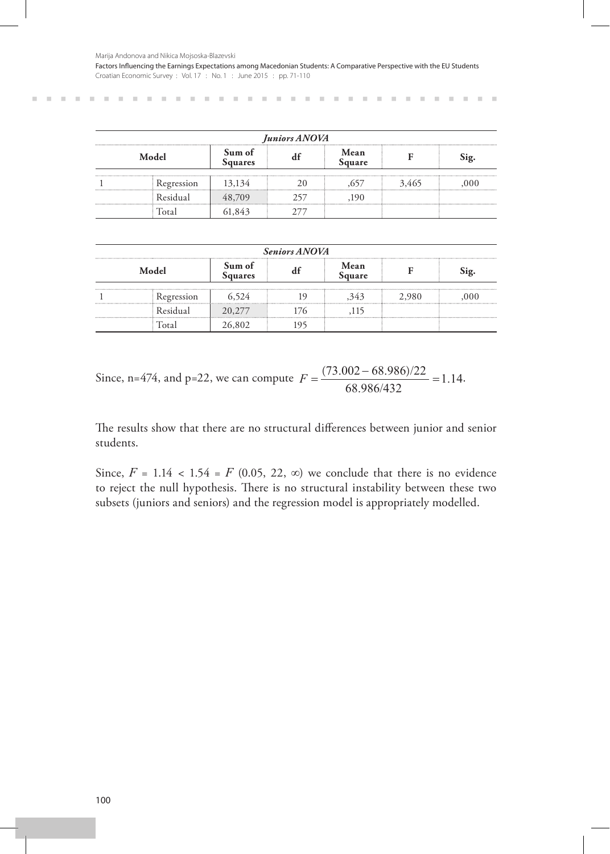Marija Andonova and Nikica Mojsoska-Blazevski

**CONTRACTOR** 

**COL** 

Factors Influencing the Earnings Expectations among Macedonian Students: A Comparative Perspective with the EU Students Croatian Economic Survey : Vol. 17 : No. 1 : June 2015 : pp. 71-110

| Juniors ANOVA |                          |                |     |       |      |  |  |  |
|---------------|--------------------------|----------------|-----|-------|------|--|--|--|
| Model         | Sum of<br><b>Squares</b> | Mean<br>Square |     |       | Sig. |  |  |  |
| Regression    | 13,134                   |                |     | 3.465 |      |  |  |  |
| Residual      | 48.709                   |                | 19O |       |      |  |  |  |
|               | 843                      |                |     |       |      |  |  |  |

|  |            |     | <b>Seniors ANOVA</b> |      |  |
|--|------------|-----|----------------------|------|--|
|  | ۱Q.        |     |                      |      |  |
|  | Regression | 524 |                      | .980 |  |
|  |            |     |                      |      |  |
|  |            |     |                      |      |  |

Since, n=474, and p=22, we can compute  $F = \frac{(73.002 - 68.986)/22}{68.986/432} = 1.14$ .

The results show that there are no structural differences between junior and senior students.

Since,  $F = 1.14 < 1.54 = F(0.05, 22, \infty)$  we conclude that there is no evidence to reject the null hypothesis. There is no structural instability between these two subsets (juniors and seniors) and the regression model is appropriately modelled.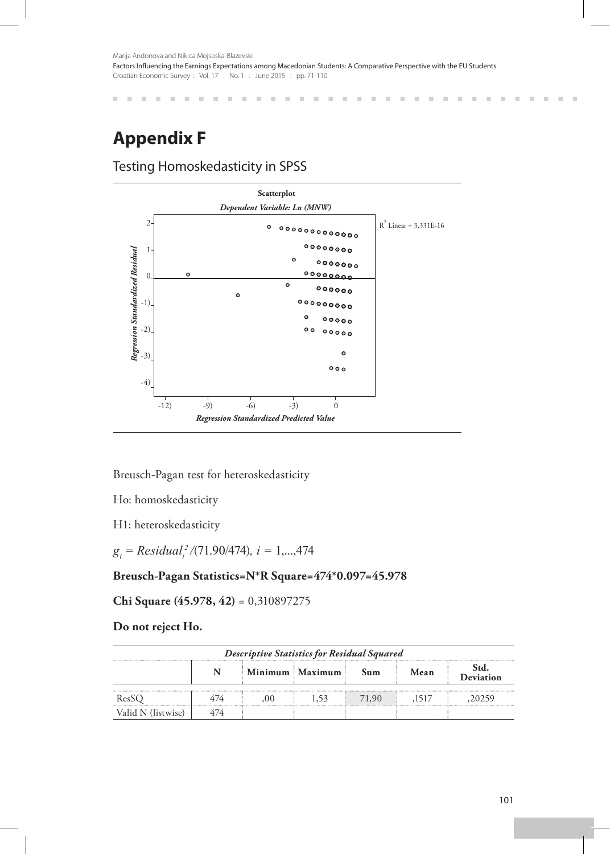> $\pm 0$  $\mathbb{R}^2$  $\mathbb{R}^2$

m.  $\mathcal{C}$  $\mathbb{R}^d$  × ×  $\mathbb{R}^d$ × ×  $\mathbb{R}^2$ 

**III**  $\mathbb{R}^d$ 

×

 $\mathbb{R}^n$  $\sim$  **COL** 

**III** 

# **Appendix F**

 $\mathbb{R}^d$  $\mathbb{R}^n$ 

## Testing Homoskedasticity in SPSS

. . . . . . . . . . .



Breusch-Pagan test for heteroskedasticity

Ho: homoskedasticity

H1: heteroskedasticity

*gi = Residual<sup>i</sup> <sup>2</sup>/*(71.90/474)*, i =* 1,...,474

### **Breusch-Pagan Statistics=N\*R Square=474\*0.097=45.978**

**Chi Square (45.978, 42)** = 0,310897275

### **Do not reject Ho.**

| Descriptive Statistics for Residual Squared         |  |  |  |       |  |  |  |  |  |
|-----------------------------------------------------|--|--|--|-------|--|--|--|--|--|
| Std.<br>Minimum Maximum<br>Mean<br>Sum<br>Deviation |  |  |  |       |  |  |  |  |  |
| ResSO                                               |  |  |  | 71.90 |  |  |  |  |  |
| Valid N (listwise)                                  |  |  |  |       |  |  |  |  |  |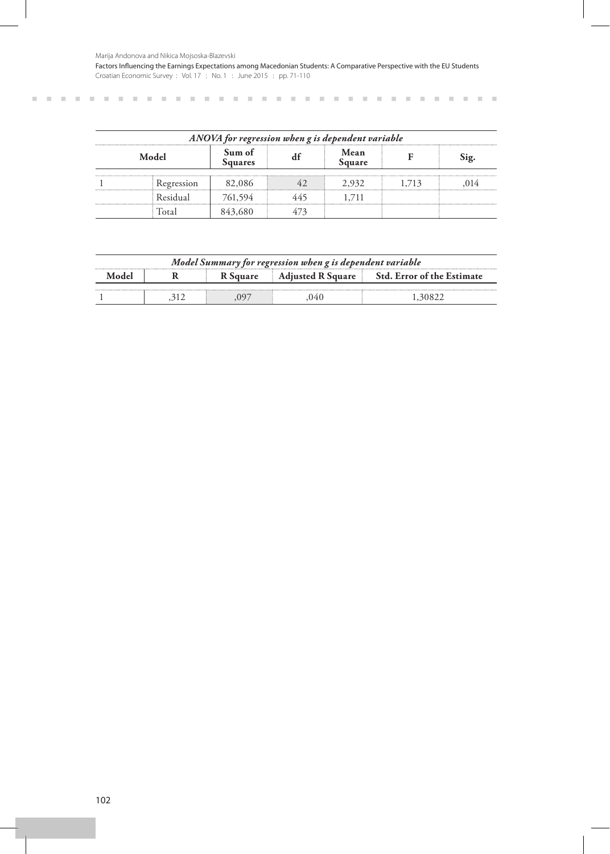Marija Andonova and Nikica Mojsoska-Blazevski

Factors Influencing the Earnings Expectations among Macedonian Students: A Comparative Perspective with the EU Students Croatian Economic Survey : Vol. 17 : No. 1 : June 2015 : pp. 71-110

*ANOVA for regression when g is dependent variable* **Model Sum of Squares df Mean Square <sup>F</sup> Sig.** 1 Regression 82,086 42 2,932 1,713 ,014 Residual 761,594 445 1,711 Total 843,680 473

| Model Summary for regression when g is dependent variable |  |  |                          |                                   |  |  |  |
|-----------------------------------------------------------|--|--|--------------------------|-----------------------------------|--|--|--|
| Andel                                                     |  |  | <b>Adjusted R Square</b> | <b>Std. Error of the Estimate</b> |  |  |  |
|                                                           |  |  |                          |                                   |  |  |  |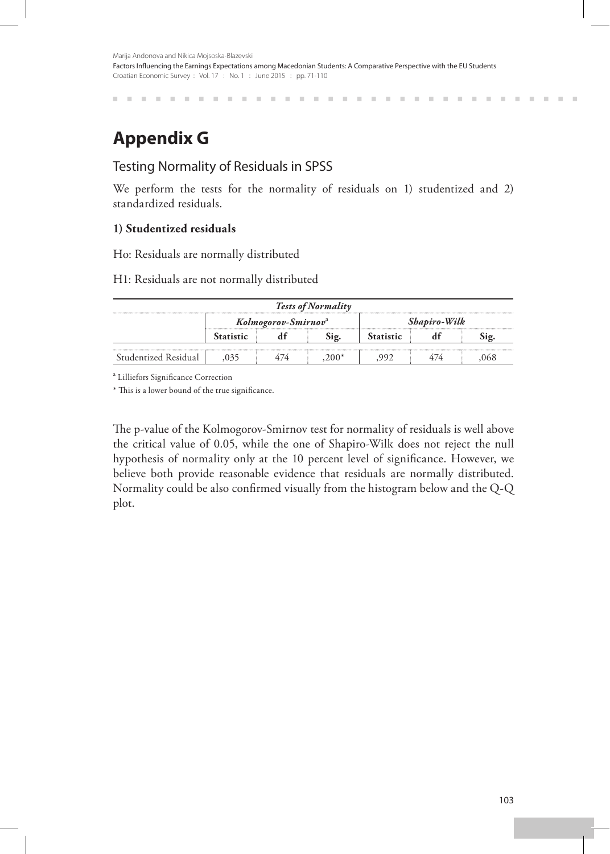# **Appendix G**

## Testing Normality of Residuals in SPSS

We perform the tests for the normality of residuals on 1) studentized and 2) standardized residuals.

## **1) Studentized residuals**

Ho: Residuals are normally distributed

#### H1: Residuals are not normally distributed

| <b>Tests of Normality</b> |           |                                 |  |              |  |  |  |  |
|---------------------------|-----------|---------------------------------|--|--------------|--|--|--|--|
|                           |           | Kolmogorov-Smirnov <sup>a</sup> |  | Shapiro-Wilk |  |  |  |  |
|                           | Statistic |                                 |  | Statistic    |  |  |  |  |
| Studentized Residual      |           |                                 |  |              |  |  |  |  |

a Lilliefors Significance Correction

\* This is a lower bound of the true significance.

The p-value of the Kolmogorov-Smirnov test for normality of residuals is well above the critical value of 0.05, while the one of Shapiro-Wilk does not reject the null hypothesis of normality only at the 10 percent level of significance. However, we believe both provide reasonable evidence that residuals are normally distributed. Normality could be also confirmed visually from the histogram below and the Q-Q plot.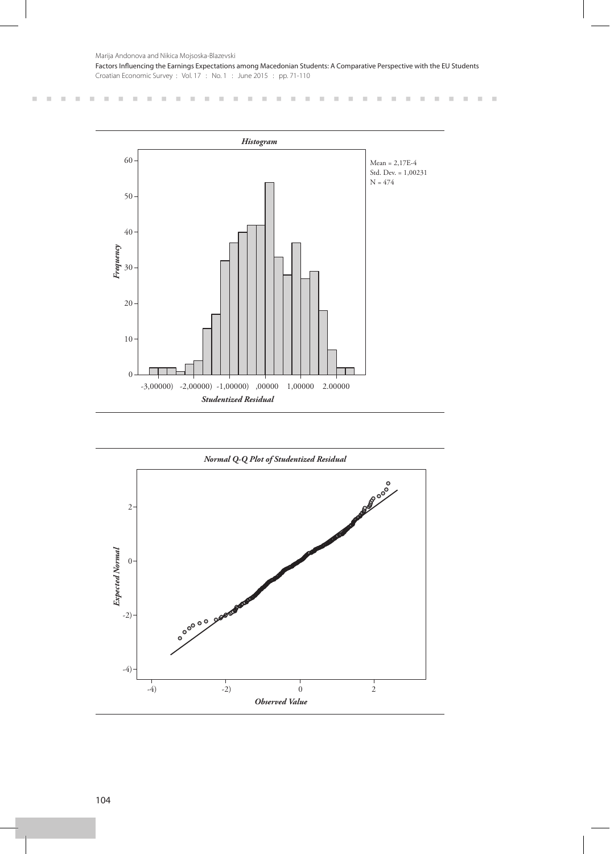$\pm$ 

 $\mathcal{C}$ 

 $\mathbb{R}^d$ × ×  $\mathcal{C}$  $\mathbb{R}^d$  $\mathbb{R}^2$ ×  $\bar{\alpha}$  $\bar{a}$  $\mathbb{R}^2$  $\mathbb{R}^2$  $\mathcal{H}$  $\mathcal{H}$ 

 $\sim$  $\sim$  $\mathbb{R}^d$ 

. . . . . . . . .

 $\mathbb{R}$  $\sim$  $\mathcal{C}$  $\mathbb{R}^d$ 

 $\mathbb{R}^n$ m.



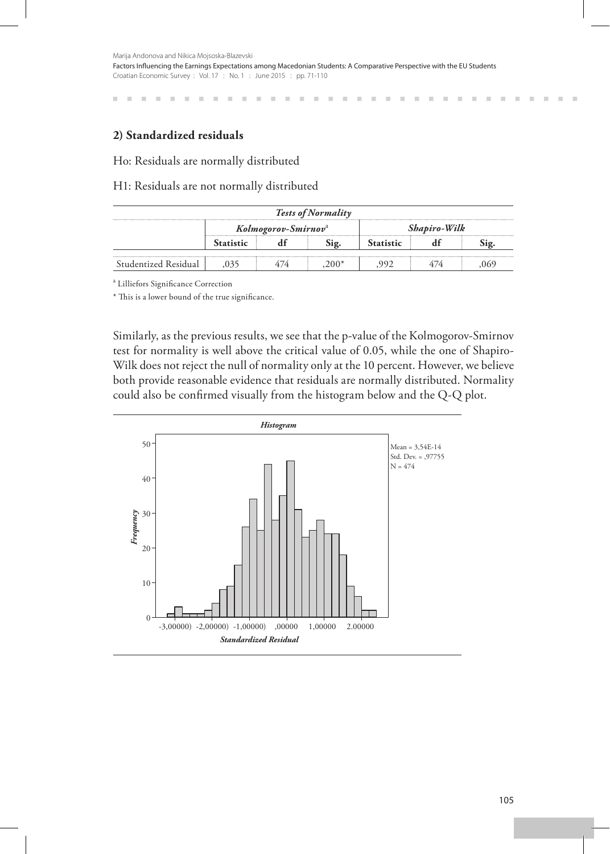×  $\mathbb{R}^d$  $\mathbb{R}^d$ × ×  $\mathbb{R}^d$ m × × m × m. m × m. × × m

## **2) Standardized residuals**

#### Ho: Residuals are normally distributed

#### H1: Residuals are not normally distributed

| <b>Tests of Normality</b> |  |                                 |  |           |              |  |  |  |
|---------------------------|--|---------------------------------|--|-----------|--------------|--|--|--|
|                           |  | Kolmogorov-Smirnov <sup>a</sup> |  |           | Shapiro-Wilk |  |  |  |
|                           |  |                                 |  | Statistic |              |  |  |  |
| Studentized Residual      |  |                                 |  |           |              |  |  |  |

a Lilliefors Significance Correction

\* This is a lower bound of the true significance.

Similarly, as the previous results, we see that the p-value of the Kolmogorov-Smirnov test for normality is well above the critical value of 0.05, while the one of Shapiro-Wilk does not reject the null of normality only at the 10 percent. However, we believe both provide reasonable evidence that residuals are normally distributed. Normality could also be confirmed visually from the histogram below and the Q-Q plot.



 $\mathbb{R}^d$ 

×

 $\mathbb{R}^2$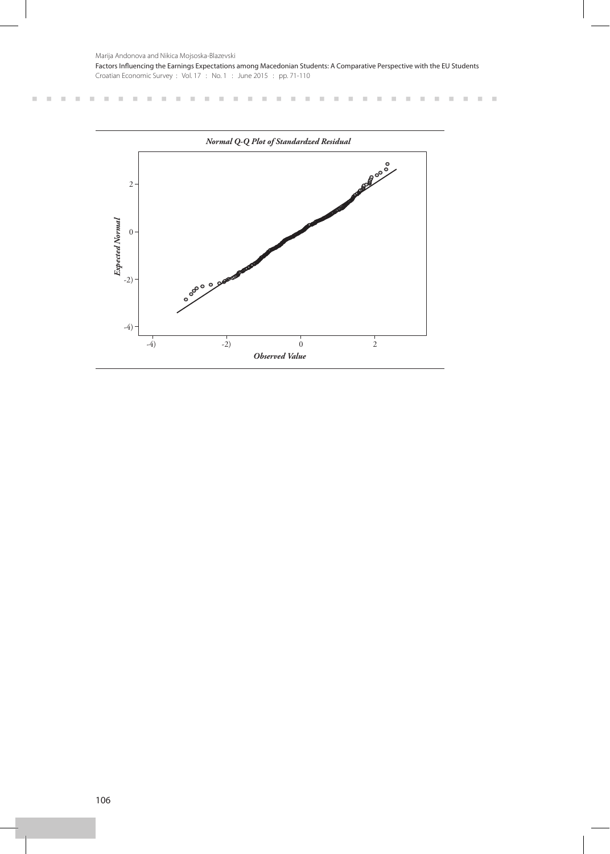Marija Andonova and Nikica Mojsoska-Blazevski

. . . . . . . . . . . . . . . . .

**CONTRACTOR** 

Factors Influencing the Earnings Expectations among Macedonian Students: A Comparative Perspective with the EU Students Croatian Economic Survey : Vol. 17 : No. 1 : June 2015 : pp. 71-110

> $\mathbb{R}^n$  $\bar{\alpha}$  $\bar{\alpha}$  $\mathcal{H}$

 $\mathcal{H}^{\prime}$  and  $\mathcal{H}^{\prime}$  and  $\mathcal{H}^{\prime}$  and

 $\sim 10^{-1}$  m  $^{-1}$  m  $^{-1}$  m  $^{-1}$ 

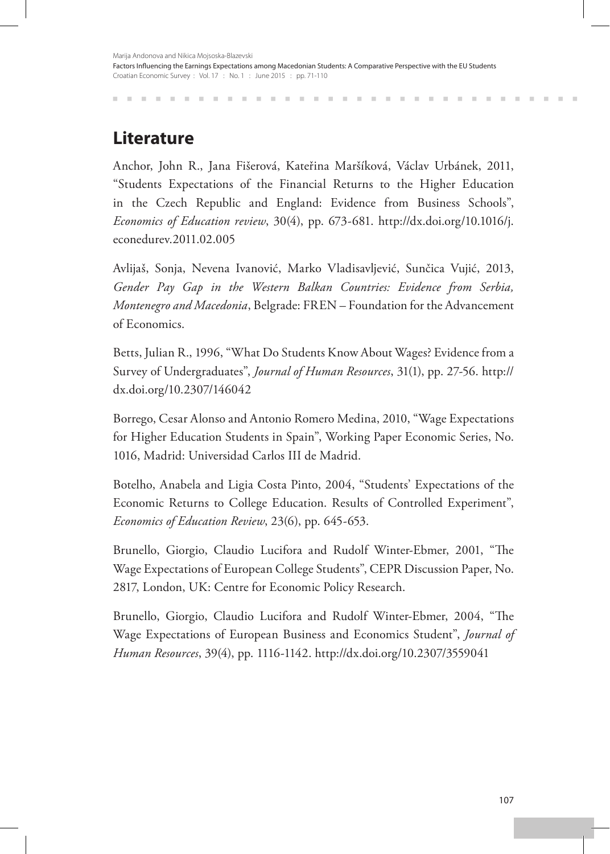**Literature**

Anchor, John R., Jana Fišerová, Kateřina Maršíková, Václav Urbánek, 2011, "Students Expectations of the Financial Returns to the Higher Education in the Czech Republic and England: Evidence from Business Schools", *Economics of Education review*, 30(4), pp. 673-681. http://dx.doi.org/10.1016/j. econedurev.2011.02.005

Avlijaš, Sonja, Nevena Ivanović, Marko Vladisavljević, Sunčica Vujić, 2013, *Gender Pay Gap in the Western Balkan Countries: Evidence from Serbia, Montenegro and Macedonia*, Belgrade: FREN – Foundation for the Advancement of Economics.

Betts, Julian R., 1996, "What Do Students Know About Wages? Evidence from a Survey of Undergraduates", *Journal of Human Resources*, 31(1), pp. 27-56. http:// dx.doi.org/10.2307/146042

Borrego, Cesar Alonso and Antonio Romero Medina, 2010, "Wage Expectations for Higher Education Students in Spain", Working Paper Economic Series, No. 1016, Madrid: Universidad Carlos III de Madrid.

Botelho, Anabela and Ligia Costa Pinto, 2004, "Students' Expectations of the Economic Returns to College Education. Results of Controlled Experiment", *Economics of Education Review*, 23(6), pp. 645-653.

Brunello, Giorgio, Claudio Lucifora and Rudolf Winter-Ebmer, 2001, "The Wage Expectations of European College Students", CEPR Discussion Paper, No. 2817, London, UK: Centre for Economic Policy Research.

Brunello, Giorgio, Claudio Lucifora and Rudolf Winter-Ebmer, 2004, "The Wage Expectations of European Business and Economics Student", *Journal of Human Resources*, 39(4), pp. 1116-1142. http://dx.doi.org/10.2307/3559041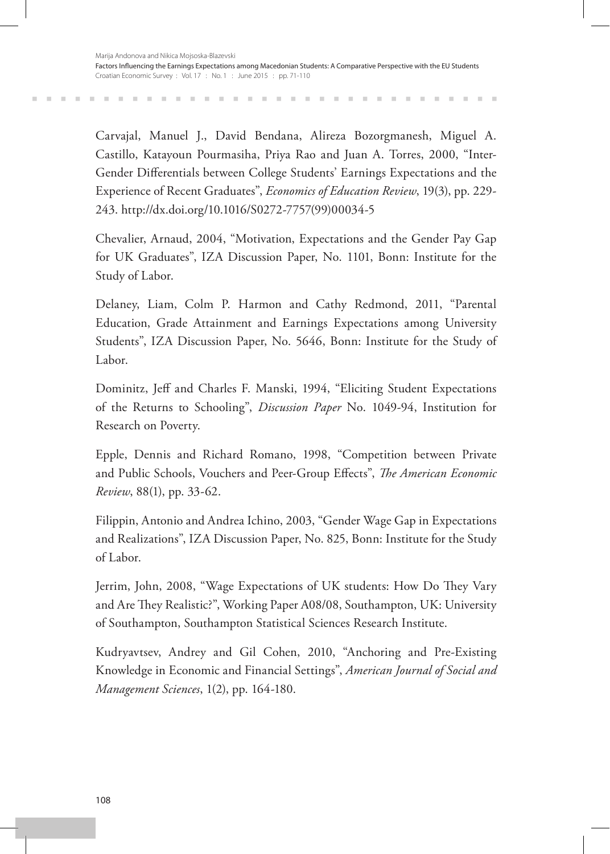Carvajal, Manuel J., David Bendana, Alireza Bozorgmanesh, Miguel A. Castillo, Katayoun Pourmasiha, Priya Rao and Juan A. Torres, 2000, "Inter-Gender Differentials between College Students' Earnings Expectations and the Experience of Recent Graduates", *Economics of Education Review*, 19(3), pp. 229- 243. http://dx.doi.org/10.1016/S0272-7757(99)00034-5

Chevalier, Arnaud, 2004, "Motivation, Expectations and the Gender Pay Gap for UK Graduates", IZA Discussion Paper, No. 1101, Bonn: Institute for the Study of Labor.

Delaney, Liam, Colm P. Harmon and Cathy Redmond, 2011, "Parental Education, Grade Attainment and Earnings Expectations among University Students", IZA Discussion Paper, No. 5646, Bonn: Institute for the Study of Labor.

Dominitz, Jeff and Charles F. Manski, 1994, "Eliciting Student Expectations of the Returns to Schooling", *Discussion Paper* No. 1049-94, Institution for Research on Poverty.

Epple, Dennis and Richard Romano, 1998, "Competition between Private and Public Schools, Vouchers and Peer-Group Effects", *The American Economic Review*, 88(1), pp. 33-62.

Filippin, Antonio and Andrea Ichino, 2003, "Gender Wage Gap in Expectations and Realizations", IZA Discussion Paper, No. 825, Bonn: Institute for the Study of Labor.

Jerrim, John, 2008, "Wage Expectations of UK students: How Do They Vary and Are They Realistic?", Working Paper A08/08, Southampton, UK: University of Southampton, Southampton Statistical Sciences Research Institute.

Kudryavtsev, Andrey and Gil Cohen, 2010, "Anchoring and Pre-Existing Knowledge in Economic and Financial Settings", *American Journal of Social and Management Sciences*, 1(2), pp. 164-180.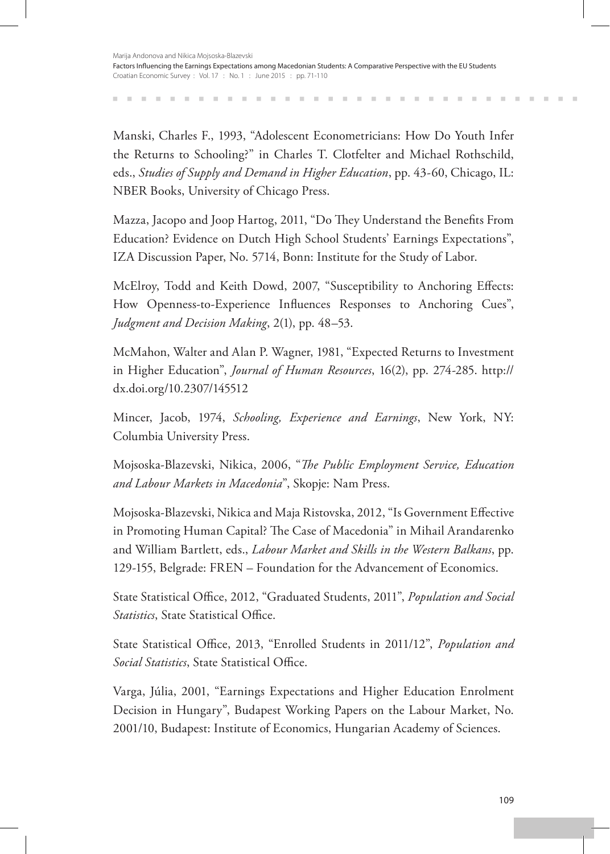Manski, Charles F., 1993, "Adolescent Econometricians: How Do Youth Infer the Returns to Schooling?" in Charles T. Clotfelter and Michael Rothschild, eds., *Studies of Supply and Demand in Higher Education*, pp. 43-60, Chicago, IL: NBER Books, University of Chicago Press.

Mazza, Jacopo and Joop Hartog, 2011, "Do They Understand the Benefits From Education? Evidence on Dutch High School Students' Earnings Expectations", IZA Discussion Paper, No. 5714, Bonn: Institute for the Study of Labor.

McElroy, Todd and Keith Dowd, 2007, "Susceptibility to Anchoring Effects: How Openness-to-Experience Influences Responses to Anchoring Cues", *Judgment and Decision Making*, 2(1), pp. 48–53.

McMahon, Walter and Alan P. Wagner, 1981, "Expected Returns to Investment in Higher Education", *Journal of Human Resources*, 16(2), pp. 274-285. http:// dx.doi.org/10.2307/145512

Mincer, Jacob, 1974, *Schooling, Experience and Earnings*, New York, NY: Columbia University Press.

Mojsoska-Blazevski, Nikica, 2006, "*The Public Employment Service, Education and Labour Markets in Macedonia*", Skopje: Nam Press.

Mojsoska-Blazevski, Nikica and Maja Ristovska, 2012, "Is Government Effective in Promoting Human Capital? The Case of Macedonia" in Mihail Arandarenko and William Bartlett, eds., *Labour Market and Skills in the Western Balkans*, pp. 129-155, Belgrade: FREN – Foundation for the Advancement of Economics.

State Statistical Office, 2012, "Graduated Students, 2011", *Population and Social Statistics*, State Statistical Office.

State Statistical Office, 2013, "Enrolled Students in 2011/12", *Population and Social Statistics*, State Statistical Office.

Varga, Júlia, 2001, "Earnings Expectations and Higher Education Enrolment Decision in Hungary", Budapest Working Papers on the Labour Market, No. 2001/10, Budapest: Institute of Economics, Hungarian Academy of Sciences.